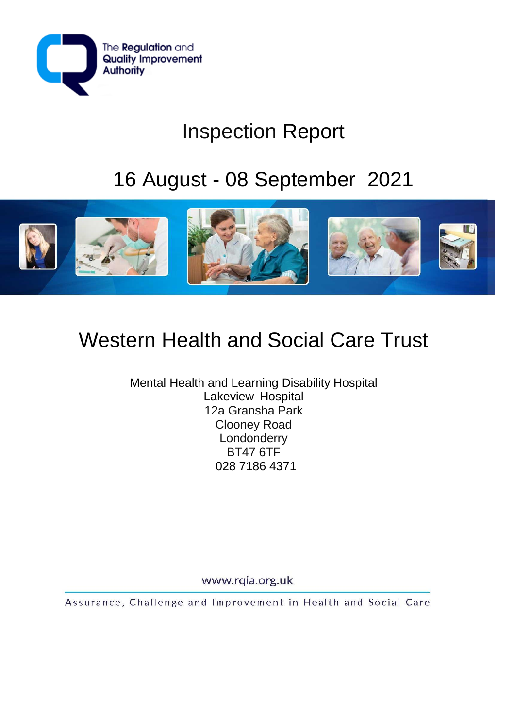

# Inspection Report

# 16 August - 08 September 2021



# Western Health and Social Care Trust

Mental Health and Learning Disability Hospital Lakeview Hospital 12a Gransha Park Clooney Road Londonderry BT47 6TF 028 7186 4371

www.rqia.org.uk

Assurance, Challenge and Improvement in Health and Social Care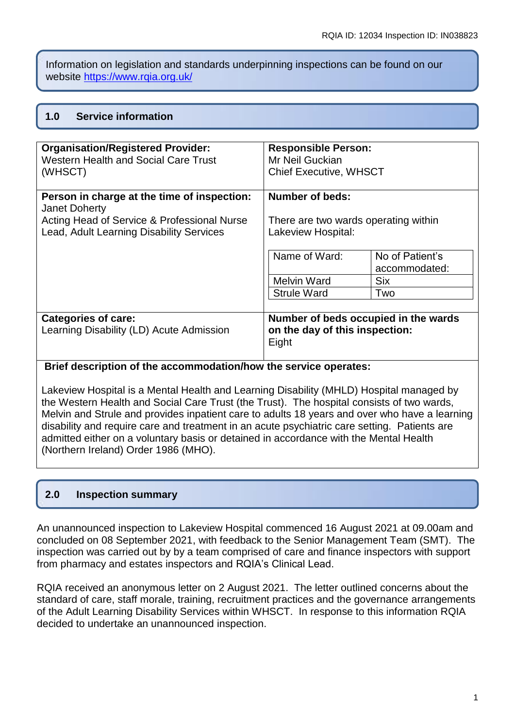Information on legislation and standards underpinning inspections can be found on our website<https://www.rqia.org.uk/>

## **1.0 Service information**

| <b>Organisation/Registered Provider:</b><br><b>Western Health and Social Care Trust</b> | <b>Responsible Person:</b><br>Mr Neil Guckian                                   |                                  |
|-----------------------------------------------------------------------------------------|---------------------------------------------------------------------------------|----------------------------------|
| (WHSCT)                                                                                 | <b>Chief Executive, WHSCT</b>                                                   |                                  |
| Person in charge at the time of inspection:<br>Janet Doherty                            | Number of beds:                                                                 |                                  |
| Acting Head of Service & Professional Nurse<br>Lead, Adult Learning Disability Services | There are two wards operating within<br>Lakeview Hospital:                      |                                  |
|                                                                                         | Name of Ward:                                                                   | No of Patient's<br>accommodated: |
|                                                                                         | <b>Melvin Ward</b>                                                              | <b>Six</b>                       |
|                                                                                         | <b>Strule Ward</b>                                                              | Two                              |
| <b>Categories of care:</b><br>Learning Disability (LD) Acute Admission                  | Number of beds occupied in the wards<br>on the day of this inspection:<br>Eight |                                  |

#### **Brief description of the accommodation/how the service operates:**

Lakeview Hospital is a Mental Health and Learning Disability (MHLD) Hospital managed by the Western Health and Social Care Trust (the Trust). The hospital consists of two wards, Melvin and Strule and provides inpatient care to adults 18 years and over who have a learning disability and require care and treatment in an acute psychiatric care setting. Patients are admitted either on a voluntary basis or detained in accordance with the Mental Health (Northern Ireland) Order 1986 (MHO).

# **2.0 Inspection summary**

An unannounced inspection to Lakeview Hospital commenced 16 August 2021 at 09.00am and concluded on 08 September 2021, with feedback to the Senior Management Team (SMT). The inspection was carried out by by a team comprised of care and finance inspectors with support from pharmacy and estates inspectors and RQIA's Clinical Lead.

RQIA received an anonymous letter on 2 August 2021. The letter outlined concerns about the standard of care, staff morale, training, recruitment practices and the governance arrangements of the Adult Learning Disability Services within WHSCT. In response to this information RQIA decided to undertake an unannounced inspection.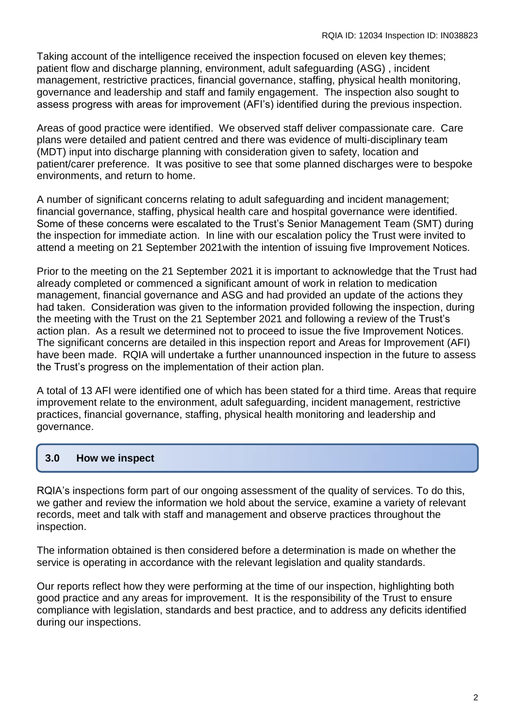Taking account of the intelligence received the inspection focused on eleven key themes; patient flow and discharge planning, environment, adult safeguarding (ASG) , incident management, restrictive practices, financial governance, staffing, physical health monitoring, governance and leadership and staff and family engagement. The inspection also sought to assess progress with areas for improvement (AFI's) identified during the previous inspection.

Areas of good practice were identified. We observed staff deliver compassionate care. Care plans were detailed and patient centred and there was evidence of multi-disciplinary team (MDT) input into discharge planning with consideration given to safety, location and patient/carer preference. It was positive to see that some planned discharges were to bespoke environments, and return to home.

A number of significant concerns relating to adult safeguarding and incident management; financial governance, staffing, physical health care and hospital governance were identified. Some of these concerns were escalated to the Trust's Senior Management Team (SMT) during the inspection for immediate action. In line with our escalation policy the Trust were invited to attend a meeting on 21 September 2021with the intention of issuing five Improvement Notices.

Prior to the meeting on the 21 September 2021 it is important to acknowledge that the Trust had already completed or commenced a significant amount of work in relation to medication management, financial governance and ASG and had provided an update of the actions they had taken. Consideration was given to the information provided following the inspection, during the meeting with the Trust on the 21 September 2021 and following a review of the Trust's action plan. As a result we determined not to proceed to issue the five Improvement Notices. The significant concerns are detailed in this inspection report and Areas for Improvement (AFI) have been made. RQIA will undertake a further unannounced inspection in the future to assess the Trust's progress on the implementation of their action plan.

A total of 13 AFI were identified one of which has been stated for a third time. Areas that require improvement relate to the environment, adult safeguarding, incident management, restrictive practices, financial governance, staffing, physical health monitoring and leadership and governance.

# **3.0 How we inspect**

RQIA's inspections form part of our ongoing assessment of the quality of services. To do this, we gather and review the information we hold about the service, examine a variety of relevant records, meet and talk with staff and management and observe practices throughout the inspection.

The information obtained is then considered before a determination is made on whether the service is operating in accordance with the relevant legislation and quality standards.

Our reports reflect how they were performing at the time of our inspection, highlighting both good practice and any areas for improvement. It is the responsibility of the Trust to ensure compliance with legislation, standards and best practice, and to address any deficits identified during our inspections.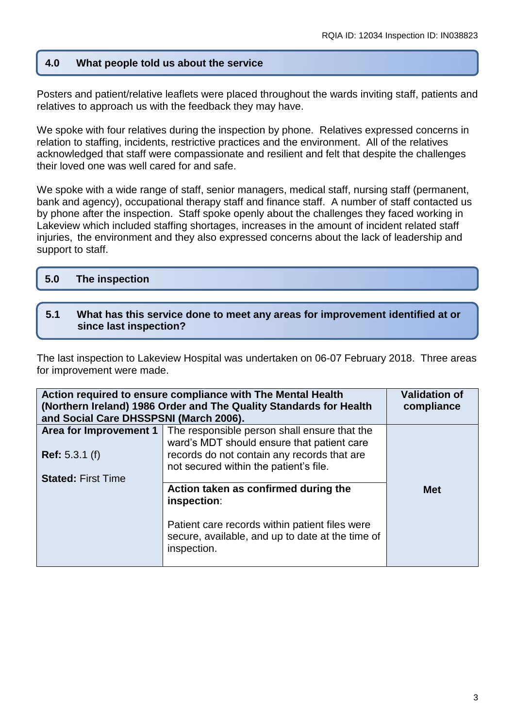### **4.0 What people told us about the service**

Posters and patient/relative leaflets were placed throughout the wards inviting staff, patients and relatives to approach us with the feedback they may have.

We spoke with four relatives during the inspection by phone. Relatives expressed concerns in relation to staffing, incidents, restrictive practices and the environment. All of the relatives acknowledged that staff were compassionate and resilient and felt that despite the challenges their loved one was well cared for and safe.

We spoke with a wide range of staff, senior managers, medical staff, nursing staff (permanent, bank and agency), occupational therapy staff and finance staff. A number of staff contacted us by phone after the inspection. Staff spoke openly about the challenges they faced working in Lakeview which included staffing shortages, increases in the amount of incident related staff injuries, the environment and they also expressed concerns about the lack of leadership and support to staff.

| 5.0 | The inspection |
|-----|----------------|
|     |                |

#### **5.1 What has this service done to meet any areas for improvement identified at or since last inspection?**

The last inspection to Lakeview Hospital was undertaken on 06-07 February 2018. Three areas for improvement were made.

| Action required to ensure compliance with The Mental Health<br><b>Validation of</b><br>(Northern Ireland) 1986 Order and The Quality Standards for Health<br>compliance<br>and Social Care DHSSPSNI (March 2006). |                                                                                                                   |            |
|-------------------------------------------------------------------------------------------------------------------------------------------------------------------------------------------------------------------|-------------------------------------------------------------------------------------------------------------------|------------|
| Area for Improvement 1                                                                                                                                                                                            | The responsible person shall ensure that the<br>ward's MDT should ensure that patient care                        |            |
| <b>Ref:</b> 5.3.1 (f)                                                                                                                                                                                             | records do not contain any records that are<br>not secured within the patient's file.                             |            |
| <b>Stated: First Time</b>                                                                                                                                                                                         | Action taken as confirmed during the                                                                              | <b>Met</b> |
|                                                                                                                                                                                                                   | inspection:                                                                                                       |            |
|                                                                                                                                                                                                                   | Patient care records within patient files were<br>secure, available, and up to date at the time of<br>inspection. |            |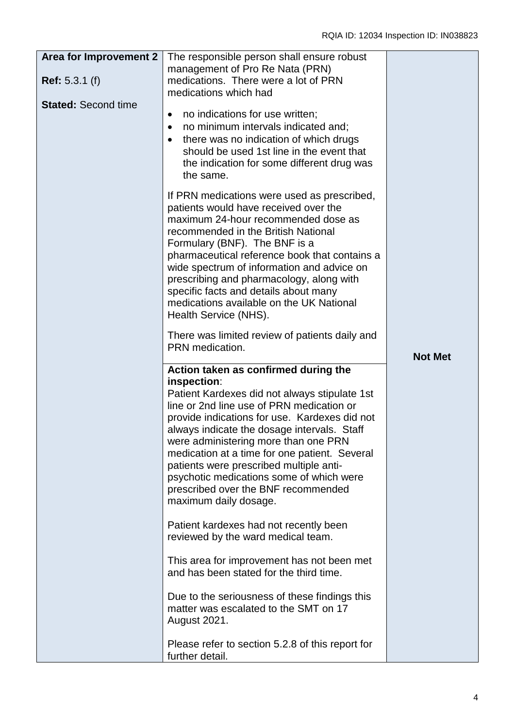| <b>Area for Improvement 2</b> | The responsible person shall ensure robust                                                                                                                                                                                                                                                                                                                                                                                                                                                        |                |
|-------------------------------|---------------------------------------------------------------------------------------------------------------------------------------------------------------------------------------------------------------------------------------------------------------------------------------------------------------------------------------------------------------------------------------------------------------------------------------------------------------------------------------------------|----------------|
|                               | management of Pro Re Nata (PRN)                                                                                                                                                                                                                                                                                                                                                                                                                                                                   |                |
| <b>Ref:</b> $5.3.1$ (f)       | medications. There were a lot of PRN                                                                                                                                                                                                                                                                                                                                                                                                                                                              |                |
|                               | medications which had                                                                                                                                                                                                                                                                                                                                                                                                                                                                             |                |
| <b>Stated: Second time</b>    | no indications for use written;<br>$\bullet$<br>no minimum intervals indicated and;<br>$\bullet$<br>there was no indication of which drugs<br>$\bullet$<br>should be used 1st line in the event that<br>the indication for some different drug was<br>the same.                                                                                                                                                                                                                                   |                |
|                               | If PRN medications were used as prescribed,<br>patients would have received over the<br>maximum 24-hour recommended dose as<br>recommended in the British National<br>Formulary (BNF). The BNF is a<br>pharmaceutical reference book that contains a<br>wide spectrum of information and advice on<br>prescribing and pharmacology, along with<br>specific facts and details about many<br>medications available on the UK National<br>Health Service (NHS).                                      |                |
|                               | There was limited review of patients daily and<br>PRN medication.                                                                                                                                                                                                                                                                                                                                                                                                                                 | <b>Not Met</b> |
|                               | Action taken as confirmed during the<br>inspection:<br>Patient Kardexes did not always stipulate 1st<br>line or 2nd line use of PRN medication or<br>provide indications for use. Kardexes did not<br>always indicate the dosage intervals. Staff<br>were administering more than one PRN<br>medication at a time for one patient. Several<br>patients were prescribed multiple anti-<br>psychotic medications some of which were<br>prescribed over the BNF recommended<br>maximum daily dosage. |                |
|                               | Patient kardexes had not recently been<br>reviewed by the ward medical team.                                                                                                                                                                                                                                                                                                                                                                                                                      |                |
|                               | This area for improvement has not been met<br>and has been stated for the third time.                                                                                                                                                                                                                                                                                                                                                                                                             |                |
|                               | Due to the seriousness of these findings this<br>matter was escalated to the SMT on 17<br>August 2021.                                                                                                                                                                                                                                                                                                                                                                                            |                |
|                               | Please refer to section 5.2.8 of this report for<br>further detail.                                                                                                                                                                                                                                                                                                                                                                                                                               |                |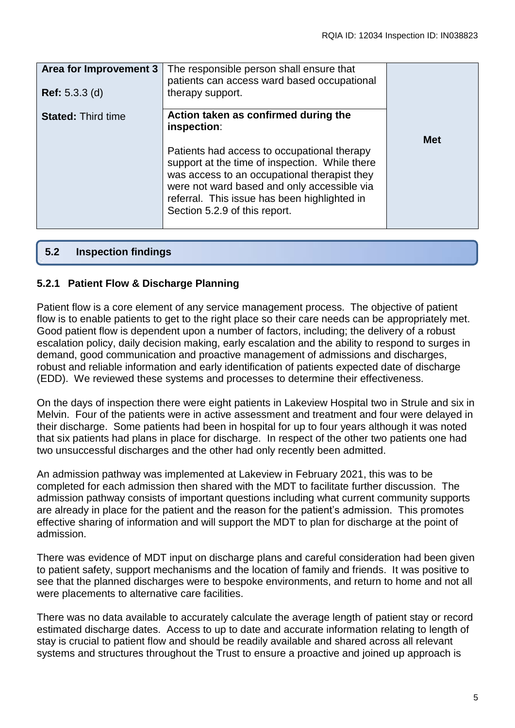| Area for Improvement 3<br><b>Ref:</b> 5.3.3 (d) | The responsible person shall ensure that<br>patients can access ward based occupational<br>therapy support.                                                                                                                                                                                                                          |            |
|-------------------------------------------------|--------------------------------------------------------------------------------------------------------------------------------------------------------------------------------------------------------------------------------------------------------------------------------------------------------------------------------------|------------|
| <b>Stated: Third time</b>                       | Action taken as confirmed during the<br>inspection:<br>Patients had access to occupational therapy<br>support at the time of inspection. While there<br>was access to an occupational therapist they<br>were not ward based and only accessible via<br>referral. This issue has been highlighted in<br>Section 5.2.9 of this report. | <b>Met</b> |

## **5.2 Inspection findings**

#### **5.2.1 Patient Flow & Discharge Planning**

Patient flow is a core element of any service management process. The objective of patient flow is to enable patients to get to the right place so their care needs can be appropriately met. Good patient flow is dependent upon a number of factors, including; the delivery of a robust escalation policy, daily decision making, early escalation and the ability to respond to surges in demand, good communication and proactive management of admissions and discharges, robust and reliable information and early identification of patients expected date of discharge (EDD). We reviewed these systems and processes to determine their effectiveness.

On the days of inspection there were eight patients in Lakeview Hospital two in Strule and six in Melvin. Four of the patients were in active assessment and treatment and four were delayed in their discharge. Some patients had been in hospital for up to four years although it was noted that six patients had plans in place for discharge. In respect of the other two patients one had two unsuccessful discharges and the other had only recently been admitted.

An admission pathway was implemented at Lakeview in February 2021, this was to be completed for each admission then shared with the MDT to facilitate further discussion. The admission pathway consists of important questions including what current community supports are already in place for the patient and the reason for the patient's admission. This promotes effective sharing of information and will support the MDT to plan for discharge at the point of admission.

There was evidence of MDT input on discharge plans and careful consideration had been given to patient safety, support mechanisms and the location of family and friends. It was positive to see that the planned discharges were to bespoke environments, and return to home and not all were placements to alternative care facilities.

There was no data available to accurately calculate the average length of patient stay or record estimated discharge dates. Access to up to date and accurate information relating to length of stay is crucial to patient flow and should be readily available and shared across all relevant systems and structures throughout the Trust to ensure a proactive and joined up approach is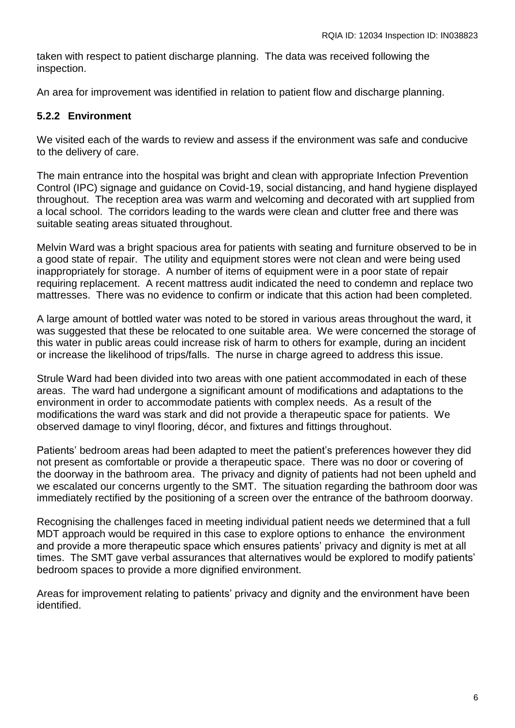taken with respect to patient discharge planning. The data was received following the inspection.

An area for improvement was identified in relation to patient flow and discharge planning.

#### **5.2.2 Environment**

We visited each of the wards to review and assess if the environment was safe and conducive to the delivery of care.

The main entrance into the hospital was bright and clean with appropriate Infection Prevention Control (IPC) signage and guidance on Covid-19, social distancing, and hand hygiene displayed throughout. The reception area was warm and welcoming and decorated with art supplied from a local school. The corridors leading to the wards were clean and clutter free and there was suitable seating areas situated throughout.

Melvin Ward was a bright spacious area for patients with seating and furniture observed to be in a good state of repair. The utility and equipment stores were not clean and were being used inappropriately for storage. A number of items of equipment were in a poor state of repair requiring replacement. A recent mattress audit indicated the need to condemn and replace two mattresses. There was no evidence to confirm or indicate that this action had been completed.

A large amount of bottled water was noted to be stored in various areas throughout the ward, it was suggested that these be relocated to one suitable area. We were concerned the storage of this water in public areas could increase risk of harm to others for example, during an incident or increase the likelihood of trips/falls. The nurse in charge agreed to address this issue.

Strule Ward had been divided into two areas with one patient accommodated in each of these areas. The ward had undergone a significant amount of modifications and adaptations to the environment in order to accommodate patients with complex needs. As a result of the modifications the ward was stark and did not provide a therapeutic space for patients. We observed damage to vinyl flooring, décor, and fixtures and fittings throughout.

Patients' bedroom areas had been adapted to meet the patient's preferences however they did not present as comfortable or provide a therapeutic space. There was no door or covering of the doorway in the bathroom area. The privacy and dignity of patients had not been upheld and we escalated our concerns urgently to the SMT. The situation regarding the bathroom door was immediately rectified by the positioning of a screen over the entrance of the bathroom doorway.

Recognising the challenges faced in meeting individual patient needs we determined that a full MDT approach would be required in this case to explore options to enhance the environment and provide a more therapeutic space which ensures patients' privacy and dignity is met at all times. The SMT gave verbal assurances that alternatives would be explored to modify patients' bedroom spaces to provide a more dignified environment.

Areas for improvement relating to patients' privacy and dignity and the environment have been identified.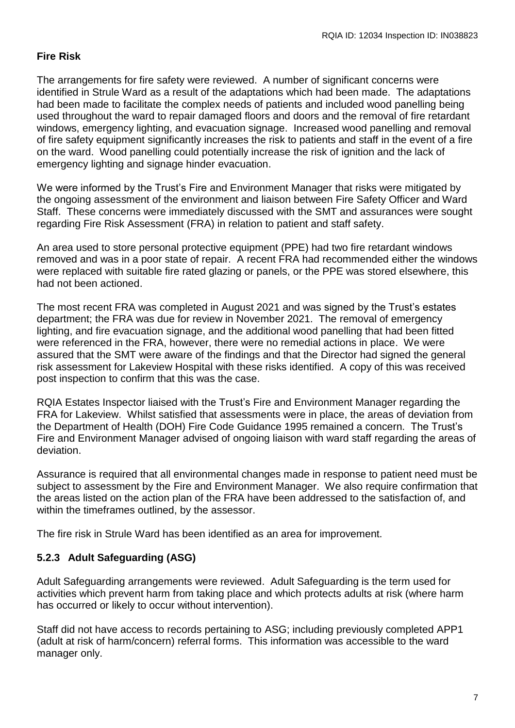## **Fire Risk**

The arrangements for fire safety were reviewed. A number of significant concerns were identified in Strule Ward as a result of the adaptations which had been made. The adaptations had been made to facilitate the complex needs of patients and included wood panelling being used throughout the ward to repair damaged floors and doors and the removal of fire retardant windows, emergency lighting, and evacuation signage. Increased wood panelling and removal of fire safety equipment significantly increases the risk to patients and staff in the event of a fire on the ward. Wood panelling could potentially increase the risk of ignition and the lack of emergency lighting and signage hinder evacuation.

We were informed by the Trust's Fire and Environment Manager that risks were mitigated by the ongoing assessment of the environment and liaison between Fire Safety Officer and Ward Staff. These concerns were immediately discussed with the SMT and assurances were sought regarding Fire Risk Assessment (FRA) in relation to patient and staff safety.

An area used to store personal protective equipment (PPE) had two fire retardant windows removed and was in a poor state of repair. A recent FRA had recommended either the windows were replaced with suitable fire rated glazing or panels, or the PPE was stored elsewhere, this had not been actioned.

The most recent FRA was completed in August 2021 and was signed by the Trust's estates department; the FRA was due for review in November 2021. The removal of emergency lighting, and fire evacuation signage, and the additional wood panelling that had been fitted were referenced in the FRA, however, there were no remedial actions in place. We were assured that the SMT were aware of the findings and that the Director had signed the general risk assessment for Lakeview Hospital with these risks identified. A copy of this was received post inspection to confirm that this was the case.

RQIA Estates Inspector liaised with the Trust's Fire and Environment Manager regarding the FRA for Lakeview. Whilst satisfied that assessments were in place, the areas of deviation from the Department of Health (DOH) Fire Code Guidance 1995 remained a concern. The Trust's Fire and Environment Manager advised of ongoing liaison with ward staff regarding the areas of deviation.

Assurance is required that all environmental changes made in response to patient need must be subject to assessment by the Fire and Environment Manager. We also require confirmation that the areas listed on the action plan of the FRA have been addressed to the satisfaction of, and within the timeframes outlined, by the assessor.

The fire risk in Strule Ward has been identified as an area for improvement.

# **5.2.3 Adult Safeguarding (ASG)**

Adult Safeguarding arrangements were reviewed. Adult Safeguarding is the term used for activities which prevent harm from taking place and which protects adults at risk (where harm has occurred or likely to occur without intervention).

Staff did not have access to records pertaining to ASG; including previously completed APP1 (adult at risk of harm/concern) referral forms. This information was accessible to the ward manager only.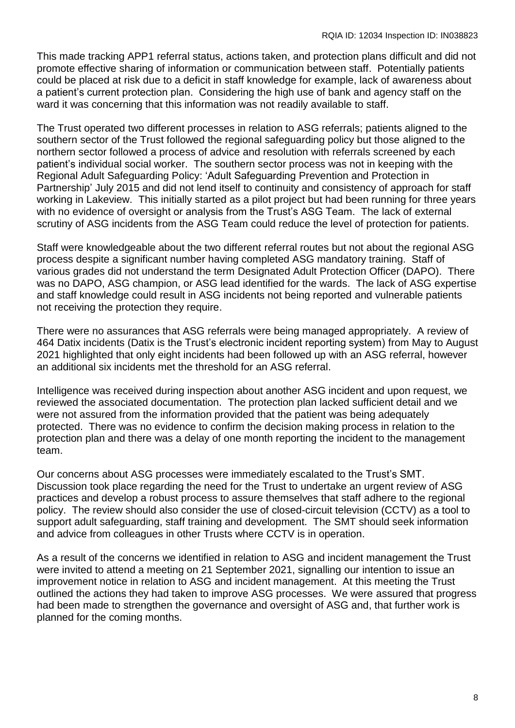This made tracking APP1 referral status, actions taken, and protection plans difficult and did not promote effective sharing of information or communication between staff. Potentially patients could be placed at risk due to a deficit in staff knowledge for example, lack of awareness about a patient's current protection plan. Considering the high use of bank and agency staff on the ward it was concerning that this information was not readily available to staff.

The Trust operated two different processes in relation to ASG referrals; patients aligned to the southern sector of the Trust followed the regional safeguarding policy but those aligned to the northern sector followed a process of advice and resolution with referrals screened by each patient's individual social worker. The southern sector process was not in keeping with the Regional Adult Safeguarding Policy: 'Adult Safeguarding Prevention and Protection in Partnership' July 2015 and did not lend itself to continuity and consistency of approach for staff working in Lakeview. This initially started as a pilot project but had been running for three years with no evidence of oversight or analysis from the Trust's ASG Team. The lack of external scrutiny of ASG incidents from the ASG Team could reduce the level of protection for patients.

Staff were knowledgeable about the two different referral routes but not about the regional ASG process despite a significant number having completed ASG mandatory training. Staff of various grades did not understand the term Designated Adult Protection Officer (DAPO). There was no DAPO, ASG champion, or ASG lead identified for the wards. The lack of ASG expertise and staff knowledge could result in ASG incidents not being reported and vulnerable patients not receiving the protection they require.

There were no assurances that ASG referrals were being managed appropriately. A review of 464 Datix incidents (Datix is the Trust's electronic incident reporting system) from May to August 2021 highlighted that only eight incidents had been followed up with an ASG referral, however an additional six incidents met the threshold for an ASG referral.

Intelligence was received during inspection about another ASG incident and upon request, we reviewed the associated documentation. The protection plan lacked sufficient detail and we were not assured from the information provided that the patient was being adequately protected. There was no evidence to confirm the decision making process in relation to the protection plan and there was a delay of one month reporting the incident to the management team.

Our concerns about ASG processes were immediately escalated to the Trust's SMT. Discussion took place regarding the need for the Trust to undertake an urgent review of ASG practices and develop a robust process to assure themselves that staff adhere to the regional policy. The review should also consider the use of closed-circuit television (CCTV) as a tool to support adult safeguarding, staff training and development. The SMT should seek information and advice from colleagues in other Trusts where CCTV is in operation.

As a result of the concerns we identified in relation to ASG and incident management the Trust were invited to attend a meeting on 21 September 2021, signalling our intention to issue an improvement notice in relation to ASG and incident management. At this meeting the Trust outlined the actions they had taken to improve ASG processes. We were assured that progress had been made to strengthen the governance and oversight of ASG and, that further work is planned for the coming months.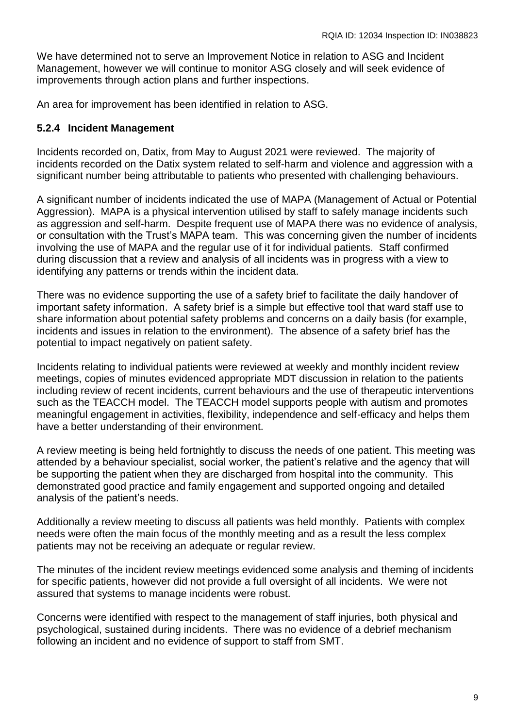We have determined not to serve an Improvement Notice in relation to ASG and Incident Management, however we will continue to monitor ASG closely and will seek evidence of improvements through action plans and further inspections.

An area for improvement has been identified in relation to ASG.

## **5.2.4 Incident Management**

Incidents recorded on, Datix, from May to August 2021 were reviewed. The majority of incidents recorded on the Datix system related to self-harm and violence and aggression with a significant number being attributable to patients who presented with challenging behaviours.

A significant number of incidents indicated the use of MAPA (Management of Actual or Potential Aggression). MAPA is a physical intervention utilised by staff to safely manage incidents such as aggression and self-harm. Despite frequent use of MAPA there was no evidence of analysis, or consultation with the Trust's MAPA team. This was concerning given the number of incidents involving the use of MAPA and the regular use of it for individual patients. Staff confirmed during discussion that a review and analysis of all incidents was in progress with a view to identifying any patterns or trends within the incident data.

There was no evidence supporting the use of a safety brief to facilitate the daily handover of important safety information. A safety brief is a simple but effective tool that ward staff use to share information about potential safety problems and concerns on a daily basis (for example, incidents and issues in relation to the environment). The absence of a safety brief has the potential to impact negatively on patient safety.

Incidents relating to individual patients were reviewed at weekly and monthly incident review meetings, copies of minutes evidenced appropriate MDT discussion in relation to the patients including review of recent incidents, current behaviours and the use of therapeutic interventions such as the TEACCH model. The TEACCH model supports people with autism and promotes meaningful engagement in activities, flexibility, independence and self-efficacy and helps them have a better understanding of their environment.

A review meeting is being held fortnightly to discuss the needs of one patient. This meeting was attended by a behaviour specialist, social worker, the patient's relative and the agency that will be supporting the patient when they are discharged from hospital into the community. This demonstrated good practice and family engagement and supported ongoing and detailed analysis of the patient's needs.

Additionally a review meeting to discuss all patients was held monthly. Patients with complex needs were often the main focus of the monthly meeting and as a result the less complex patients may not be receiving an adequate or regular review.

The minutes of the incident review meetings evidenced some analysis and theming of incidents for specific patients, however did not provide a full oversight of all incidents. We were not assured that systems to manage incidents were robust.

Concerns were identified with respect to the management of staff injuries, both physical and psychological, sustained during incidents. There was no evidence of a debrief mechanism following an incident and no evidence of support to staff from SMT.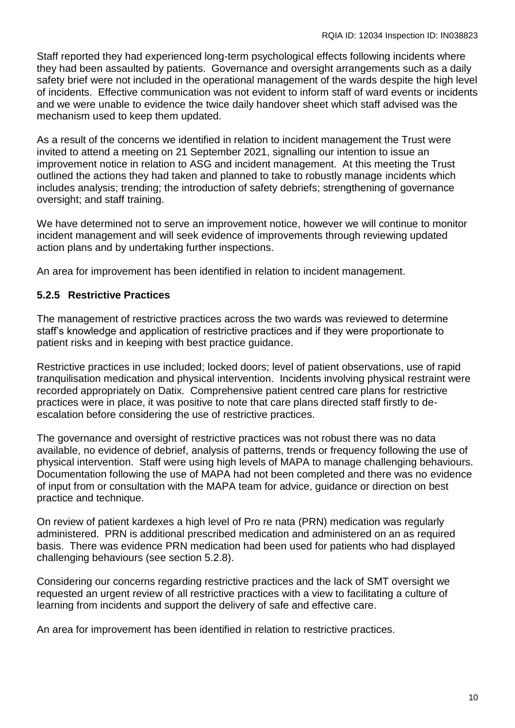Staff reported they had experienced long-term psychological effects following incidents where they had been assaulted by patients. Governance and oversight arrangements such as a daily safety brief were not included in the operational management of the wards despite the high level of incidents. Effective communication was not evident to inform staff of ward events or incidents and we were unable to evidence the twice daily handover sheet which staff advised was the mechanism used to keep them updated.

As a result of the concerns we identified in relation to incident management the Trust were invited to attend a meeting on 21 September 2021, signalling our intention to issue an improvement notice in relation to ASG and incident management. At this meeting the Trust outlined the actions they had taken and planned to take to robustly manage incidents which includes analysis; trending; the introduction of safety debriefs; strengthening of governance oversight; and staff training.

We have determined not to serve an improvement notice, however we will continue to monitor incident management and will seek evidence of improvements through reviewing updated action plans and by undertaking further inspections.

An area for improvement has been identified in relation to incident management.

## **5.2.5 Restrictive Practices**

The management of restrictive practices across the two wards was reviewed to determine staff's knowledge and application of restrictive practices and if they were proportionate to patient risks and in keeping with best practice guidance.

Restrictive practices in use included; locked doors; level of patient observations, use of rapid tranquilisation medication and physical intervention. Incidents involving physical restraint were recorded appropriately on Datix. Comprehensive patient centred care plans for restrictive practices were in place, it was positive to note that care plans directed staff firstly to deescalation before considering the use of restrictive practices.

The governance and oversight of restrictive practices was not robust there was no data available, no evidence of debrief, analysis of patterns, trends or frequency following the use of physical intervention. Staff were using high levels of MAPA to manage challenging behaviours. Documentation following the use of MAPA had not been completed and there was no evidence of input from or consultation with the MAPA team for advice, guidance or direction on best practice and technique.

On review of patient kardexes a high level of Pro re nata (PRN) medication was regularly administered. PRN is additional prescribed medication and administered on an as required basis. There was evidence PRN medication had been used for patients who had displayed challenging behaviours (see section 5.2.8).

Considering our concerns regarding restrictive practices and the lack of SMT oversight we requested an urgent review of all restrictive practices with a view to facilitating a culture of learning from incidents and support the delivery of safe and effective care.

An area for improvement has been identified in relation to restrictive practices.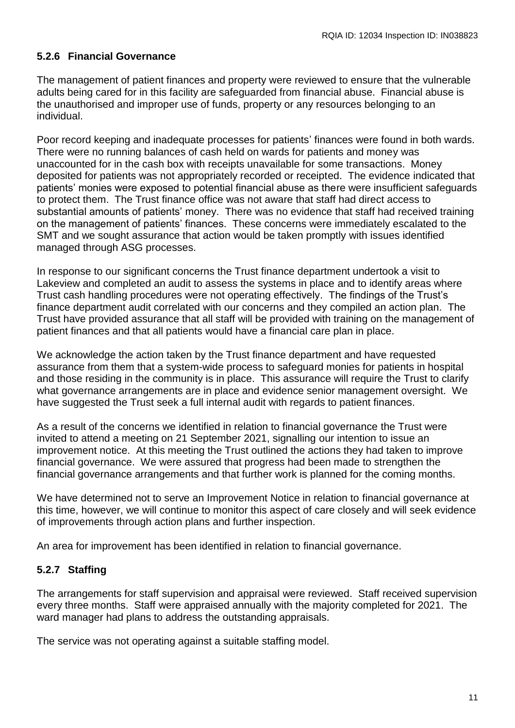## **5.2.6 Financial Governance**

The management of patient finances and property were reviewed to ensure that the vulnerable adults being cared for in this facility are safeguarded from financial abuse. Financial abuse is the unauthorised and improper use of funds, property or any resources belonging to an individual.

Poor record keeping and inadequate processes for patients' finances were found in both wards. There were no running balances of cash held on wards for patients and money was unaccounted for in the cash box with receipts unavailable for some transactions. Money deposited for patients was not appropriately recorded or receipted. The evidence indicated that patients' monies were exposed to potential financial abuse as there were insufficient safeguards to protect them. The Trust finance office was not aware that staff had direct access to substantial amounts of patients' money. There was no evidence that staff had received training on the management of patients' finances. These concerns were immediately escalated to the SMT and we sought assurance that action would be taken promptly with issues identified managed through ASG processes.

In response to our significant concerns the Trust finance department undertook a visit to Lakeview and completed an audit to assess the systems in place and to identify areas where Trust cash handling procedures were not operating effectively. The findings of the Trust's finance department audit correlated with our concerns and they compiled an action plan. The Trust have provided assurance that all staff will be provided with training on the management of patient finances and that all patients would have a financial care plan in place.

We acknowledge the action taken by the Trust finance department and have requested assurance from them that a system-wide process to safeguard monies for patients in hospital and those residing in the community is in place. This assurance will require the Trust to clarify what governance arrangements are in place and evidence senior management oversight. We have suggested the Trust seek a full internal audit with regards to patient finances.

As a result of the concerns we identified in relation to financial governance the Trust were invited to attend a meeting on 21 September 2021, signalling our intention to issue an improvement notice. At this meeting the Trust outlined the actions they had taken to improve financial governance. We were assured that progress had been made to strengthen the financial governance arrangements and that further work is planned for the coming months.

We have determined not to serve an Improvement Notice in relation to financial governance at this time, however, we will continue to monitor this aspect of care closely and will seek evidence of improvements through action plans and further inspection.

An area for improvement has been identified in relation to financial governance.

# **5.2.7 Staffing**

The arrangements for staff supervision and appraisal were reviewed. Staff received supervision every three months. Staff were appraised annually with the majority completed for 2021. The ward manager had plans to address the outstanding appraisals.

The service was not operating against a suitable staffing model.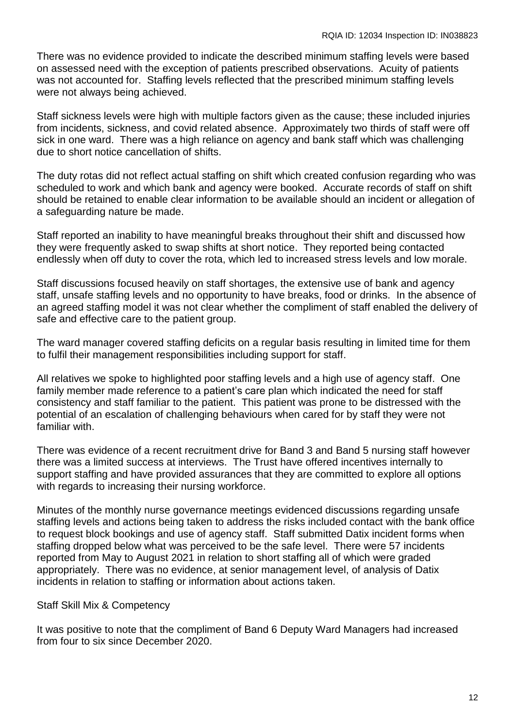There was no evidence provided to indicate the described minimum staffing levels were based on assessed need with the exception of patients prescribed observations. Acuity of patients was not accounted for. Staffing levels reflected that the prescribed minimum staffing levels were not always being achieved.

Staff sickness levels were high with multiple factors given as the cause; these included injuries from incidents, sickness, and covid related absence. Approximately two thirds of staff were off sick in one ward. There was a high reliance on agency and bank staff which was challenging due to short notice cancellation of shifts.

The duty rotas did not reflect actual staffing on shift which created confusion regarding who was scheduled to work and which bank and agency were booked. Accurate records of staff on shift should be retained to enable clear information to be available should an incident or allegation of a safeguarding nature be made.

Staff reported an inability to have meaningful breaks throughout their shift and discussed how they were frequently asked to swap shifts at short notice. They reported being contacted endlessly when off duty to cover the rota, which led to increased stress levels and low morale.

Staff discussions focused heavily on staff shortages, the extensive use of bank and agency staff, unsafe staffing levels and no opportunity to have breaks, food or drinks. In the absence of an agreed staffing model it was not clear whether the compliment of staff enabled the delivery of safe and effective care to the patient group.

The ward manager covered staffing deficits on a regular basis resulting in limited time for them to fulfil their management responsibilities including support for staff.

All relatives we spoke to highlighted poor staffing levels and a high use of agency staff. One family member made reference to a patient's care plan which indicated the need for staff consistency and staff familiar to the patient. This patient was prone to be distressed with the potential of an escalation of challenging behaviours when cared for by staff they were not familiar with.

There was evidence of a recent recruitment drive for Band 3 and Band 5 nursing staff however there was a limited success at interviews. The Trust have offered incentives internally to support staffing and have provided assurances that they are committed to explore all options with regards to increasing their nursing workforce.

Minutes of the monthly nurse governance meetings evidenced discussions regarding unsafe staffing levels and actions being taken to address the risks included contact with the bank office to request block bookings and use of agency staff. Staff submitted Datix incident forms when staffing dropped below what was perceived to be the safe level. There were 57 incidents reported from May to August 2021 in relation to short staffing all of which were graded appropriately. There was no evidence, at senior management level, of analysis of Datix incidents in relation to staffing or information about actions taken.

Staff Skill Mix & Competency

It was positive to note that the compliment of Band 6 Deputy Ward Managers had increased from four to six since December 2020.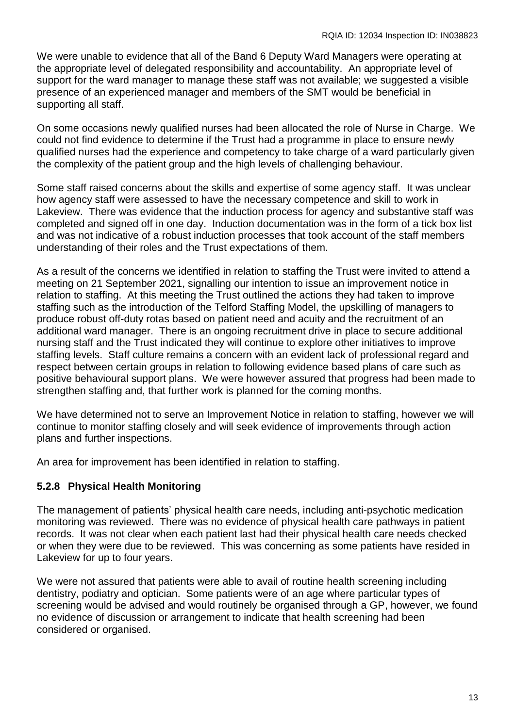We were unable to evidence that all of the Band 6 Deputy Ward Managers were operating at the appropriate level of delegated responsibility and accountability. An appropriate level of support for the ward manager to manage these staff was not available; we suggested a visible presence of an experienced manager and members of the SMT would be beneficial in supporting all staff.

On some occasions newly qualified nurses had been allocated the role of Nurse in Charge. We could not find evidence to determine if the Trust had a programme in place to ensure newly qualified nurses had the experience and competency to take charge of a ward particularly given the complexity of the patient group and the high levels of challenging behaviour.

Some staff raised concerns about the skills and expertise of some agency staff. It was unclear how agency staff were assessed to have the necessary competence and skill to work in Lakeview. There was evidence that the induction process for agency and substantive staff was completed and signed off in one day. Induction documentation was in the form of a tick box list and was not indicative of a robust induction processes that took account of the staff members understanding of their roles and the Trust expectations of them.

As a result of the concerns we identified in relation to staffing the Trust were invited to attend a meeting on 21 September 2021, signalling our intention to issue an improvement notice in relation to staffing. At this meeting the Trust outlined the actions they had taken to improve staffing such as the introduction of the Telford Staffing Model, the upskilling of managers to produce robust off-duty rotas based on patient need and acuity and the recruitment of an additional ward manager. There is an ongoing recruitment drive in place to secure additional nursing staff and the Trust indicated they will continue to explore other initiatives to improve staffing levels. Staff culture remains a concern with an evident lack of professional regard and respect between certain groups in relation to following evidence based plans of care such as positive behavioural support plans. We were however assured that progress had been made to strengthen staffing and, that further work is planned for the coming months.

We have determined not to serve an Improvement Notice in relation to staffing, however we will continue to monitor staffing closely and will seek evidence of improvements through action plans and further inspections.

An area for improvement has been identified in relation to staffing.

# **5.2.8 Physical Health Monitoring**

The management of patients' physical health care needs, including anti-psychotic medication monitoring was reviewed. There was no evidence of physical health care pathways in patient records. It was not clear when each patient last had their physical health care needs checked or when they were due to be reviewed. This was concerning as some patients have resided in Lakeview for up to four years.

We were not assured that patients were able to avail of routine health screening including dentistry, podiatry and optician. Some patients were of an age where particular types of screening would be advised and would routinely be organised through a GP, however, we found no evidence of discussion or arrangement to indicate that health screening had been considered or organised.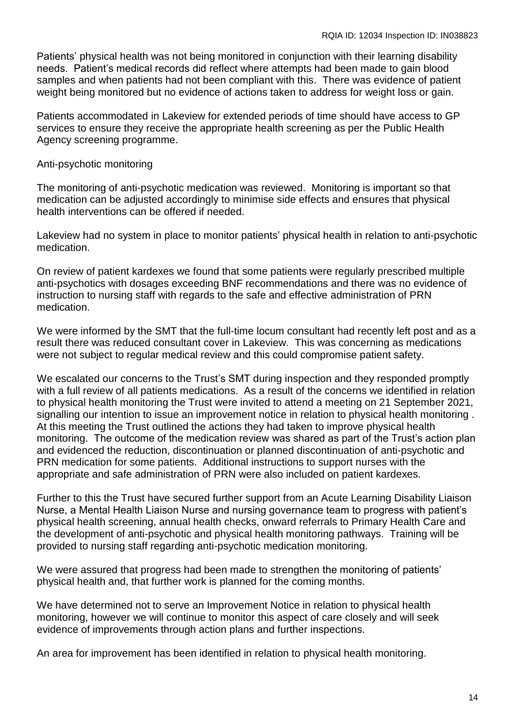Patients' physical health was not being monitored in conjunction with their learning disability needs. Patient's medical records did reflect where attempts had been made to gain blood samples and when patients had not been compliant with this. There was evidence of patient weight being monitored but no evidence of actions taken to address for weight loss or gain.

Patients accommodated in Lakeview for extended periods of time should have access to GP services to ensure they receive the appropriate health screening as per the Public Health Agency screening programme.

#### Anti-psychotic monitoring

The monitoring of anti-psychotic medication was reviewed. Monitoring is important so that medication can be adjusted accordingly to minimise side effects and ensures that physical health interventions can be offered if needed.

Lakeview had no system in place to monitor patients' physical health in relation to anti-psychotic medication.

On review of patient kardexes we found that some patients were regularly prescribed multiple anti-psychotics with dosages exceeding BNF recommendations and there was no evidence of instruction to nursing staff with regards to the safe and effective administration of PRN medication.

We were informed by the SMT that the full-time locum consultant had recently left post and as a result there was reduced consultant cover in Lakeview. This was concerning as medications were not subject to regular medical review and this could compromise patient safety.

We escalated our concerns to the Trust's SMT during inspection and they responded promptly with a full review of all patients medications. As a result of the concerns we identified in relation to physical health monitoring the Trust were invited to attend a meeting on 21 September 2021, signalling our intention to issue an improvement notice in relation to physical health monitoring . At this meeting the Trust outlined the actions they had taken to improve physical health monitoring. The outcome of the medication review was shared as part of the Trust's action plan and evidenced the reduction, discontinuation or planned discontinuation of anti-psychotic and PRN medication for some patients. Additional instructions to support nurses with the appropriate and safe administration of PRN were also included on patient kardexes.

Further to this the Trust have secured further support from an Acute Learning Disability Liaison Nurse, a Mental Health Liaison Nurse and nursing governance team to progress with patient's physical health screening, annual health checks, onward referrals to Primary Health Care and the development of anti-psychotic and physical health monitoring pathways. Training will be provided to nursing staff regarding anti-psychotic medication monitoring.

We were assured that progress had been made to strengthen the monitoring of patients' physical health and, that further work is planned for the coming months.

We have determined not to serve an Improvement Notice in relation to physical health monitoring, however we will continue to monitor this aspect of care closely and will seek evidence of improvements through action plans and further inspections.

An area for improvement has been identified in relation to physical health monitoring.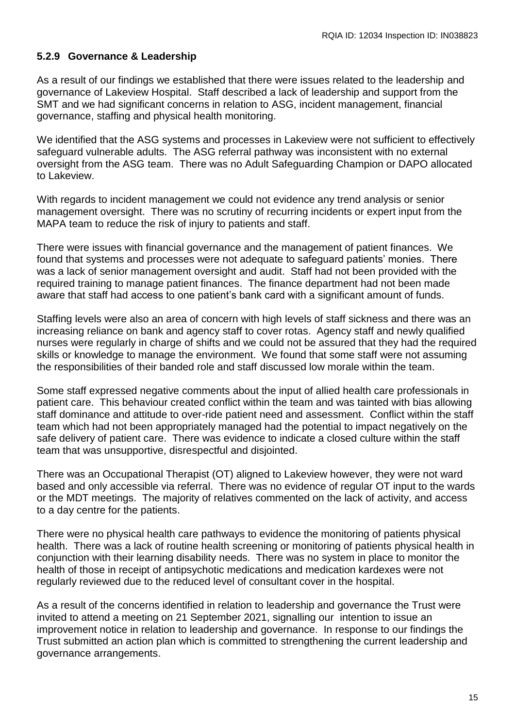#### **5.2.9 Governance & Leadership**

As a result of our findings we established that there were issues related to the leadership and governance of Lakeview Hospital. Staff described a lack of leadership and support from the SMT and we had significant concerns in relation to ASG, incident management, financial governance, staffing and physical health monitoring.

We identified that the ASG systems and processes in Lakeview were not sufficient to effectively safeguard vulnerable adults. The ASG referral pathway was inconsistent with no external oversight from the ASG team. There was no Adult Safeguarding Champion or DAPO allocated to Lakeview.

With regards to incident management we could not evidence any trend analysis or senior management oversight. There was no scrutiny of recurring incidents or expert input from the MAPA team to reduce the risk of injury to patients and staff.

There were issues with financial governance and the management of patient finances. We found that systems and processes were not adequate to safeguard patients' monies. There was a lack of senior management oversight and audit. Staff had not been provided with the required training to manage patient finances. The finance department had not been made aware that staff had access to one patient's bank card with a significant amount of funds.

Staffing levels were also an area of concern with high levels of staff sickness and there was an increasing reliance on bank and agency staff to cover rotas. Agency staff and newly qualified nurses were regularly in charge of shifts and we could not be assured that they had the required skills or knowledge to manage the environment. We found that some staff were not assuming the responsibilities of their banded role and staff discussed low morale within the team.

Some staff expressed negative comments about the input of allied health care professionals in patient care. This behaviour created conflict within the team and was tainted with bias allowing staff dominance and attitude to over-ride patient need and assessment. Conflict within the staff team which had not been appropriately managed had the potential to impact negatively on the safe delivery of patient care. There was evidence to indicate a closed culture within the staff team that was unsupportive, disrespectful and disjointed.

There was an Occupational Therapist (OT) aligned to Lakeview however, they were not ward based and only accessible via referral. There was no evidence of regular OT input to the wards or the MDT meetings. The majority of relatives commented on the lack of activity, and access to a day centre for the patients.

There were no physical health care pathways to evidence the monitoring of patients physical health. There was a lack of routine health screening or monitoring of patients physical health in conjunction with their learning disability needs. There was no system in place to monitor the health of those in receipt of antipsychotic medications and medication kardexes were not regularly reviewed due to the reduced level of consultant cover in the hospital.

As a result of the concerns identified in relation to leadership and governance the Trust were invited to attend a meeting on 21 September 2021, signalling our intention to issue an improvement notice in relation to leadership and governance. In response to our findings the Trust submitted an action plan which is committed to strengthening the current leadership and governance arrangements.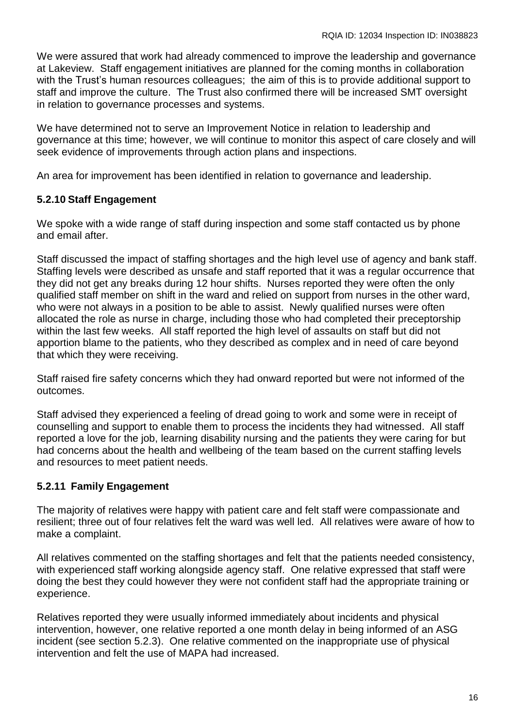We were assured that work had already commenced to improve the leadership and governance at Lakeview. Staff engagement initiatives are planned for the coming months in collaboration with the Trust's human resources colleagues; the aim of this is to provide additional support to staff and improve the culture. The Trust also confirmed there will be increased SMT oversight in relation to governance processes and systems.

We have determined not to serve an Improvement Notice in relation to leadership and governance at this time; however, we will continue to monitor this aspect of care closely and will seek evidence of improvements through action plans and inspections.

An area for improvement has been identified in relation to governance and leadership.

## **5.2.10 Staff Engagement**

We spoke with a wide range of staff during inspection and some staff contacted us by phone and email after.

Staff discussed the impact of staffing shortages and the high level use of agency and bank staff. Staffing levels were described as unsafe and staff reported that it was a regular occurrence that they did not get any breaks during 12 hour shifts. Nurses reported they were often the only qualified staff member on shift in the ward and relied on support from nurses in the other ward, who were not always in a position to be able to assist. Newly qualified nurses were often allocated the role as nurse in charge, including those who had completed their preceptorship within the last few weeks. All staff reported the high level of assaults on staff but did not apportion blame to the patients, who they described as complex and in need of care beyond that which they were receiving.

Staff raised fire safety concerns which they had onward reported but were not informed of the outcomes.

Staff advised they experienced a feeling of dread going to work and some were in receipt of counselling and support to enable them to process the incidents they had witnessed. All staff reported a love for the job, learning disability nursing and the patients they were caring for but had concerns about the health and wellbeing of the team based on the current staffing levels and resources to meet patient needs.

## **5.2.11 Family Engagement**

The majority of relatives were happy with patient care and felt staff were compassionate and resilient; three out of four relatives felt the ward was well led. All relatives were aware of how to make a complaint.

All relatives commented on the staffing shortages and felt that the patients needed consistency, with experienced staff working alongside agency staff. One relative expressed that staff were doing the best they could however they were not confident staff had the appropriate training or experience.

Relatives reported they were usually informed immediately about incidents and physical intervention, however, one relative reported a one month delay in being informed of an ASG incident (see section 5.2.3). One relative commented on the inappropriate use of physical intervention and felt the use of MAPA had increased.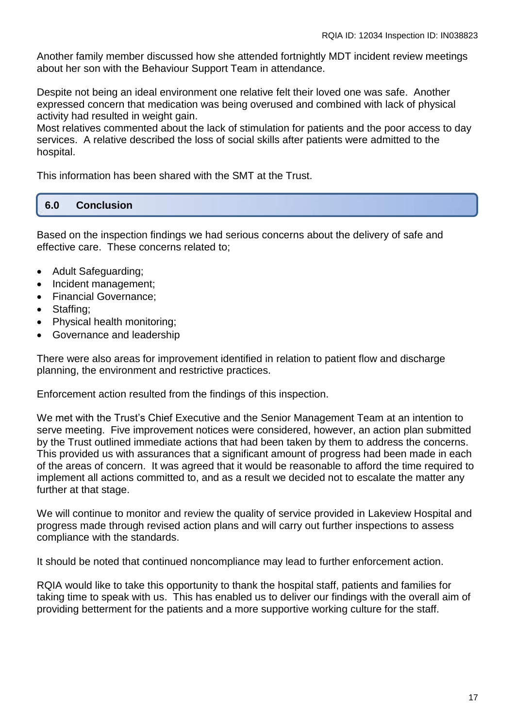Another family member discussed how she attended fortnightly MDT incident review meetings about her son with the Behaviour Support Team in attendance.

Despite not being an ideal environment one relative felt their loved one was safe. Another expressed concern that medication was being overused and combined with lack of physical activity had resulted in weight gain.

Most relatives commented about the lack of stimulation for patients and the poor access to day services. A relative described the loss of social skills after patients were admitted to the hospital.

This information has been shared with the SMT at the Trust.

#### **6.0 Conclusion**

Based on the inspection findings we had serious concerns about the delivery of safe and effective care. These concerns related to;

- Adult Safeguarding:
- Incident management;
- Financial Governance:
- Staffing:
- Physical health monitoring;
- Governance and leadership

There were also areas for improvement identified in relation to patient flow and discharge planning, the environment and restrictive practices.

[Enforcement action](https://www.rqia.org.uk/who-we-are/corporate-documents-(1)/rqia-policies-and-procedures/) resulted from the findings of this inspection.

We met with the Trust's Chief Executive and the Senior Management Team at an intention to serve meeting. Five improvement notices were considered, however, an action plan submitted by the Trust outlined immediate actions that had been taken by them to address the concerns. This provided us with assurances that a significant amount of progress had been made in each of the areas of concern. It was agreed that it would be reasonable to afford the time required to implement all actions committed to, and as a result we decided not to escalate the matter any further at that stage.

We will continue to monitor and review the quality of service provided in Lakeview Hospital and progress made through revised action plans and will carry out further inspections to assess compliance with the standards.

It should be noted that continued noncompliance may lead to further enforcement action.

RQIA would like to take this opportunity to thank the hospital staff, patients and families for taking time to speak with us. This has enabled us to deliver our findings with the overall aim of providing betterment for the patients and a more supportive working culture for the staff.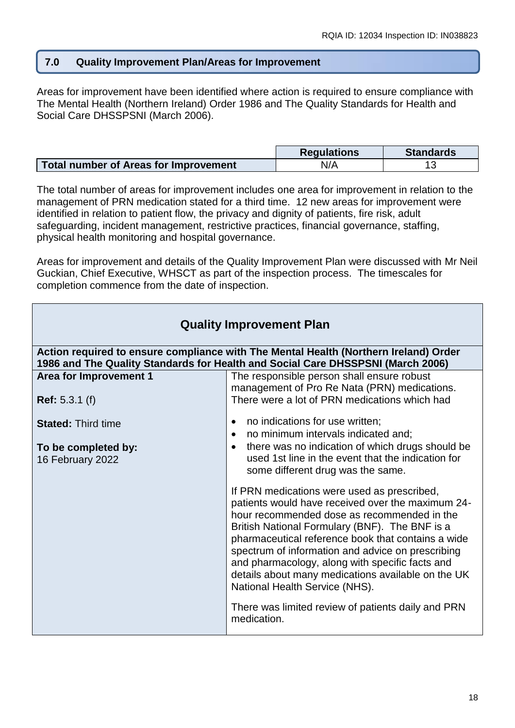#### **7.0 Quality Improvement Plan/Areas for Improvement**

Areas for improvement have been identified where action is required to ensure compliance with The Mental Health (Northern Ireland) Order 1986 and The Quality Standards for Health and Social Care DHSSPSNI (March 2006).

|                                       | <b>Regulations</b> | <b>Standards</b> |
|---------------------------------------|--------------------|------------------|
| Total number of Areas for Improvement | N/A                |                  |

The total number of areas for improvement includes one area for improvement in relation to the management of PRN medication stated for a third time. 12 new areas for improvement were identified in relation to patient flow, the privacy and dignity of patients, fire risk, adult safeguarding, incident management, restrictive practices, financial governance, staffing, physical health monitoring and hospital governance.

Areas for improvement and details of the Quality Improvement Plan were discussed with Mr Neil Guckian, Chief Executive, WHSCT as part of the inspection process. The timescales for completion commence from the date of inspection.

| <b>Quality Improvement Plan</b>                                                                                                                                         |                                                                                                                                                                                                                                                                                                                                                                                                                                                                                                                              |  |
|-------------------------------------------------------------------------------------------------------------------------------------------------------------------------|------------------------------------------------------------------------------------------------------------------------------------------------------------------------------------------------------------------------------------------------------------------------------------------------------------------------------------------------------------------------------------------------------------------------------------------------------------------------------------------------------------------------------|--|
| Action required to ensure compliance with The Mental Health (Northern Ireland) Order<br>1986 and The Quality Standards for Health and Social Care DHSSPSNI (March 2006) |                                                                                                                                                                                                                                                                                                                                                                                                                                                                                                                              |  |
| <b>Area for Improvement 1</b>                                                                                                                                           | The responsible person shall ensure robust<br>management of Pro Re Nata (PRN) medications.                                                                                                                                                                                                                                                                                                                                                                                                                                   |  |
| <b>Ref:</b> 5.3.1 (f)                                                                                                                                                   | There were a lot of PRN medications which had                                                                                                                                                                                                                                                                                                                                                                                                                                                                                |  |
| <b>Stated: Third time</b>                                                                                                                                               | no indications for use written;<br>$\bullet$<br>no minimum intervals indicated and;<br>$\bullet$                                                                                                                                                                                                                                                                                                                                                                                                                             |  |
| To be completed by:<br>16 February 2022                                                                                                                                 | there was no indication of which drugs should be<br>$\bullet$<br>used 1st line in the event that the indication for<br>some different drug was the same.                                                                                                                                                                                                                                                                                                                                                                     |  |
|                                                                                                                                                                         | If PRN medications were used as prescribed,<br>patients would have received over the maximum 24-<br>hour recommended dose as recommended in the<br>British National Formulary (BNF). The BNF is a<br>pharmaceutical reference book that contains a wide<br>spectrum of information and advice on prescribing<br>and pharmacology, along with specific facts and<br>details about many medications available on the UK<br>National Health Service (NHS).<br>There was limited review of patients daily and PRN<br>medication. |  |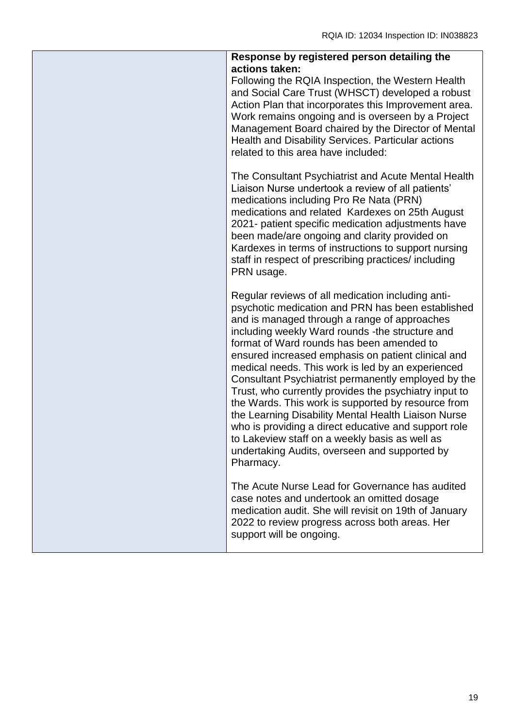| Response by registered person detailing the                                                                                                                                                                                                                                                                                                                                                                                                                                                                                                                                                                                                                                                                                                                             |
|-------------------------------------------------------------------------------------------------------------------------------------------------------------------------------------------------------------------------------------------------------------------------------------------------------------------------------------------------------------------------------------------------------------------------------------------------------------------------------------------------------------------------------------------------------------------------------------------------------------------------------------------------------------------------------------------------------------------------------------------------------------------------|
| actions taken:<br>Following the RQIA Inspection, the Western Health<br>and Social Care Trust (WHSCT) developed a robust<br>Action Plan that incorporates this Improvement area.<br>Work remains ongoing and is overseen by a Project<br>Management Board chaired by the Director of Mental<br>Health and Disability Services. Particular actions<br>related to this area have included:                                                                                                                                                                                                                                                                                                                                                                                 |
| The Consultant Psychiatrist and Acute Mental Health<br>Liaison Nurse undertook a review of all patients'<br>medications including Pro Re Nata (PRN)<br>medications and related Kardexes on 25th August<br>2021- patient specific medication adjustments have<br>been made/are ongoing and clarity provided on<br>Kardexes in terms of instructions to support nursing<br>staff in respect of prescribing practices/ including<br>PRN usage.                                                                                                                                                                                                                                                                                                                             |
| Regular reviews of all medication including anti-<br>psychotic medication and PRN has been established<br>and is managed through a range of approaches<br>including weekly Ward rounds - the structure and<br>format of Ward rounds has been amended to<br>ensured increased emphasis on patient clinical and<br>medical needs. This work is led by an experienced<br>Consultant Psychiatrist permanently employed by the<br>Trust, who currently provides the psychiatry input to<br>the Wards. This work is supported by resource from<br>the Learning Disability Mental Health Liaison Nurse<br>who is providing a direct educative and support role<br>to Lakeview staff on a weekly basis as well as<br>undertaking Audits, overseen and supported by<br>Pharmacy. |
| The Acute Nurse Lead for Governance has audited<br>case notes and undertook an omitted dosage<br>medication audit. She will revisit on 19th of January<br>2022 to review progress across both areas. Her<br>support will be ongoing.                                                                                                                                                                                                                                                                                                                                                                                                                                                                                                                                    |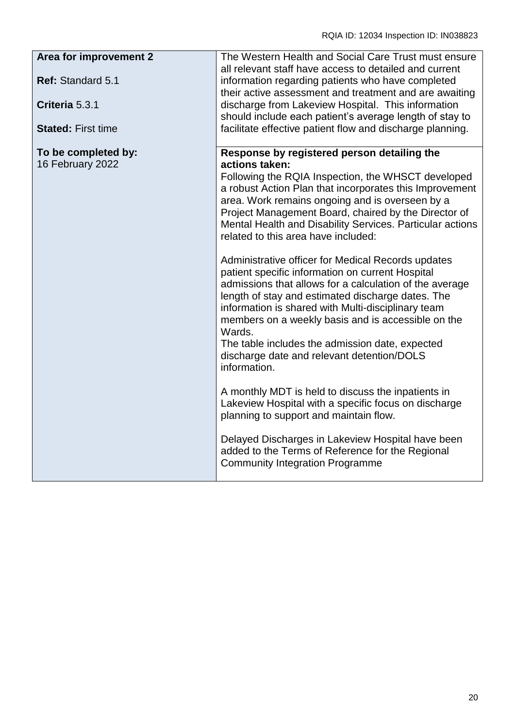| Area for improvement 2                  | The Western Health and Social Care Trust must ensure                                                                                                                                                                                                                                                                                                                                                                                                                                                                                                               |
|-----------------------------------------|--------------------------------------------------------------------------------------------------------------------------------------------------------------------------------------------------------------------------------------------------------------------------------------------------------------------------------------------------------------------------------------------------------------------------------------------------------------------------------------------------------------------------------------------------------------------|
| Ref: Standard 5.1                       | all relevant staff have access to detailed and current<br>information regarding patients who have completed<br>their active assessment and treatment and are awaiting                                                                                                                                                                                                                                                                                                                                                                                              |
| Criteria 5.3.1                          | discharge from Lakeview Hospital. This information                                                                                                                                                                                                                                                                                                                                                                                                                                                                                                                 |
| <b>Stated: First time</b>               | should include each patient's average length of stay to<br>facilitate effective patient flow and discharge planning.                                                                                                                                                                                                                                                                                                                                                                                                                                               |
| To be completed by:<br>16 February 2022 | Response by registered person detailing the<br>actions taken:<br>Following the RQIA Inspection, the WHSCT developed<br>a robust Action Plan that incorporates this Improvement<br>area. Work remains ongoing and is overseen by a<br>Project Management Board, chaired by the Director of<br>Mental Health and Disability Services. Particular actions<br>related to this area have included:<br>Administrative officer for Medical Records updates<br>patient specific information on current Hospital<br>admissions that allows for a calculation of the average |
|                                         | length of stay and estimated discharge dates. The<br>information is shared with Multi-disciplinary team<br>members on a weekly basis and is accessible on the<br>Wards.<br>The table includes the admission date, expected<br>discharge date and relevant detention/DOLS<br>information.                                                                                                                                                                                                                                                                           |
|                                         | A monthly MDT is held to discuss the inpatients in<br>Lakeview Hospital with a specific focus on discharge<br>planning to support and maintain flow.                                                                                                                                                                                                                                                                                                                                                                                                               |
|                                         | Delayed Discharges in Lakeview Hospital have been<br>added to the Terms of Reference for the Regional<br><b>Community Integration Programme</b>                                                                                                                                                                                                                                                                                                                                                                                                                    |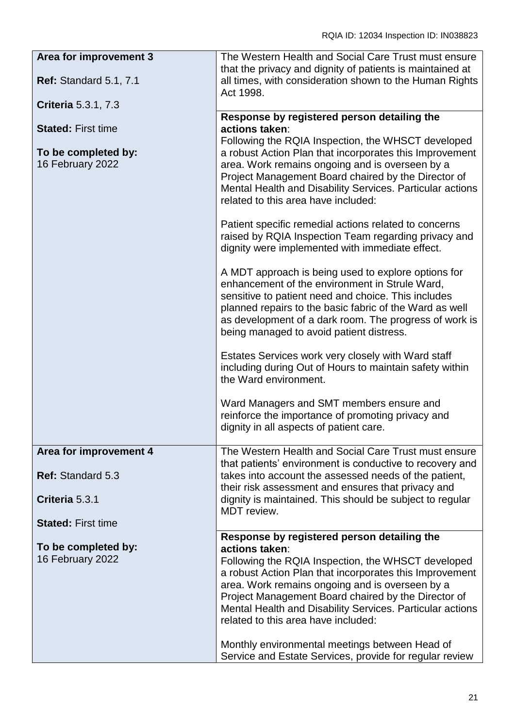| Area for improvement 3                  | The Western Health and Social Care Trust must ensure<br>that the privacy and dignity of patients is maintained at                                                                                                                                                                                                                                                                               |
|-----------------------------------------|-------------------------------------------------------------------------------------------------------------------------------------------------------------------------------------------------------------------------------------------------------------------------------------------------------------------------------------------------------------------------------------------------|
| <b>Ref: Standard 5.1, 7.1</b>           | all times, with consideration shown to the Human Rights<br>Act 1998.                                                                                                                                                                                                                                                                                                                            |
| <b>Criteria</b> 5.3.1, 7.3              |                                                                                                                                                                                                                                                                                                                                                                                                 |
|                                         | Response by registered person detailing the                                                                                                                                                                                                                                                                                                                                                     |
| <b>Stated: First time</b>               | actions taken:<br>Following the RQIA Inspection, the WHSCT developed                                                                                                                                                                                                                                                                                                                            |
| To be completed by:<br>16 February 2022 | a robust Action Plan that incorporates this Improvement<br>area. Work remains ongoing and is overseen by a<br>Project Management Board chaired by the Director of<br>Mental Health and Disability Services. Particular actions<br>related to this area have included:                                                                                                                           |
|                                         | Patient specific remedial actions related to concerns<br>raised by RQIA Inspection Team regarding privacy and<br>dignity were implemented with immediate effect.                                                                                                                                                                                                                                |
|                                         | A MDT approach is being used to explore options for<br>enhancement of the environment in Strule Ward,<br>sensitive to patient need and choice. This includes<br>planned repairs to the basic fabric of the Ward as well<br>as development of a dark room. The progress of work is<br>being managed to avoid patient distress.                                                                   |
|                                         | Estates Services work very closely with Ward staff<br>including during Out of Hours to maintain safety within<br>the Ward environment.                                                                                                                                                                                                                                                          |
|                                         | Ward Managers and SMT members ensure and<br>reinforce the importance of promoting privacy and<br>dignity in all aspects of patient care.                                                                                                                                                                                                                                                        |
| Area for improvement 4                  | The Western Health and Social Care Trust must ensure                                                                                                                                                                                                                                                                                                                                            |
| <b>Ref: Standard 5.3</b>                | that patients' environment is conductive to recovery and<br>takes into account the assessed needs of the patient,                                                                                                                                                                                                                                                                               |
| Criteria 5.3.1                          | their risk assessment and ensures that privacy and<br>dignity is maintained. This should be subject to regular                                                                                                                                                                                                                                                                                  |
| <b>Stated: First time</b>               | MDT review.                                                                                                                                                                                                                                                                                                                                                                                     |
|                                         | Response by registered person detailing the                                                                                                                                                                                                                                                                                                                                                     |
| To be completed by:<br>16 February 2022 | actions taken:<br>Following the RQIA Inspection, the WHSCT developed<br>a robust Action Plan that incorporates this Improvement<br>area. Work remains ongoing and is overseen by a<br>Project Management Board chaired by the Director of<br>Mental Health and Disability Services. Particular actions<br>related to this area have included:<br>Monthly environmental meetings between Head of |
|                                         | Service and Estate Services, provide for regular review                                                                                                                                                                                                                                                                                                                                         |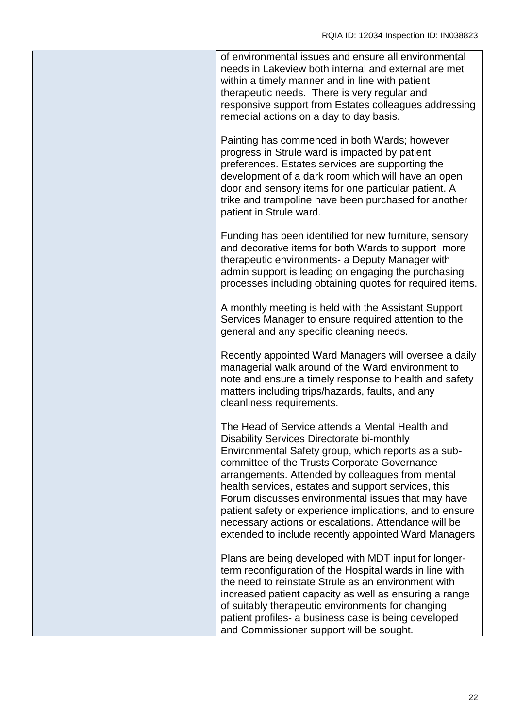of environmental issues and ensure all environmental needs in Lakeview both internal and external are met within a timely manner and in line with patient therapeutic needs. There is very regular and responsive support from Estates colleagues addressing remedial actions on a day to day basis.

Painting has commenced in both Wards; however progress in Strule ward is impacted by patient preferences. Estates services are supporting the development of a dark room which will have an open door and sensory items for one particular patient. A trike and trampoline have been purchased for another patient in Strule ward.

Funding has been identified for new furniture, sensory and decorative items for both Wards to support more therapeutic environments- a Deputy Manager with admin support is leading on engaging the purchasing processes including obtaining quotes for required items.

A monthly meeting is held with the Assistant Support Services Manager to ensure required attention to the general and any specific cleaning needs.

Recently appointed Ward Managers will oversee a daily managerial walk around of the Ward environment to note and ensure a timely response to health and safety matters including trips/hazards, faults, and any cleanliness requirements.

The Head of Service attends a Mental Health and Disability Services Directorate bi-monthly Environmental Safety group, which reports as a subcommittee of the Trusts Corporate Governance arrangements. Attended by colleagues from mental health services, estates and support services, this Forum discusses environmental issues that may have patient safety or experience implications, and to ensure necessary actions or escalations. Attendance will be extended to include recently appointed Ward Managers

Plans are being developed with MDT input for longerterm reconfiguration of the Hospital wards in line with the need to reinstate Strule as an environment with increased patient capacity as well as ensuring a range of suitably therapeutic environments for changing patient profiles- a business case is being developed and Commissioner support will be sought.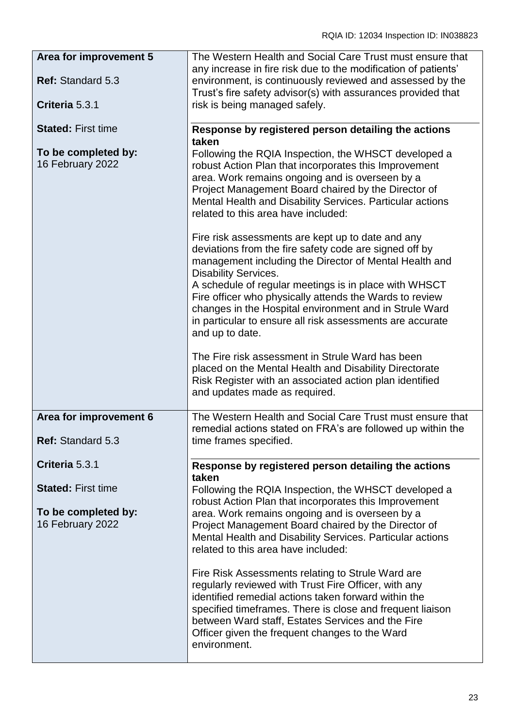| Area for improvement 5                                               | The Western Health and Social Care Trust must ensure that                                                                                                                                                                                                                                                                                                                                                                                                          |
|----------------------------------------------------------------------|--------------------------------------------------------------------------------------------------------------------------------------------------------------------------------------------------------------------------------------------------------------------------------------------------------------------------------------------------------------------------------------------------------------------------------------------------------------------|
|                                                                      | any increase in fire risk due to the modification of patients'                                                                                                                                                                                                                                                                                                                                                                                                     |
| Ref: Standard 5.3                                                    | environment, is continuously reviewed and assessed by the<br>Trust's fire safety advisor(s) with assurances provided that                                                                                                                                                                                                                                                                                                                                          |
| Criteria 5.3.1                                                       | risk is being managed safely.                                                                                                                                                                                                                                                                                                                                                                                                                                      |
| <b>Stated: First time</b><br>To be completed by:<br>16 February 2022 | Response by registered person detailing the actions<br>taken<br>Following the RQIA Inspection, the WHSCT developed a<br>robust Action Plan that incorporates this Improvement<br>area. Work remains ongoing and is overseen by a<br>Project Management Board chaired by the Director of<br>Mental Health and Disability Services. Particular actions<br>related to this area have included:                                                                        |
|                                                                      | Fire risk assessments are kept up to date and any<br>deviations from the fire safety code are signed off by<br>management including the Director of Mental Health and<br><b>Disability Services.</b><br>A schedule of regular meetings is in place with WHSCT<br>Fire officer who physically attends the Wards to review<br>changes in the Hospital environment and in Strule Ward<br>in particular to ensure all risk assessments are accurate<br>and up to date. |
|                                                                      | The Fire risk assessment in Strule Ward has been<br>placed on the Mental Health and Disability Directorate<br>Risk Register with an associated action plan identified<br>and updates made as required.                                                                                                                                                                                                                                                             |
| Area for improvement 6<br>Ref: Standard 5.3                          | The Western Health and Social Care Trust must ensure that<br>remedial actions stated on FRA's are followed up within the<br>time frames specified.                                                                                                                                                                                                                                                                                                                 |
| Criteria 5.3.1                                                       | Response by registered person detailing the actions                                                                                                                                                                                                                                                                                                                                                                                                                |
|                                                                      | taken                                                                                                                                                                                                                                                                                                                                                                                                                                                              |
| <b>Stated: First time</b><br>To be completed by:<br>16 February 2022 | Following the RQIA Inspection, the WHSCT developed a<br>robust Action Plan that incorporates this Improvement<br>area. Work remains ongoing and is overseen by a<br>Project Management Board chaired by the Director of<br>Mental Health and Disability Services. Particular actions                                                                                                                                                                               |
|                                                                      | related to this area have included:                                                                                                                                                                                                                                                                                                                                                                                                                                |
|                                                                      | Fire Risk Assessments relating to Strule Ward are<br>regularly reviewed with Trust Fire Officer, with any<br>identified remedial actions taken forward within the<br>specified timeframes. There is close and frequent liaison<br>between Ward staff, Estates Services and the Fire<br>Officer given the frequent changes to the Ward<br>environment.                                                                                                              |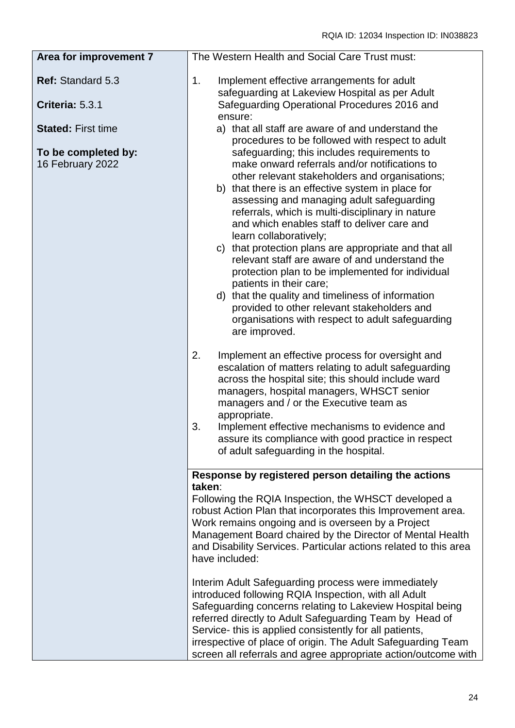| Area for improvement 7                  | The Western Health and Social Care Trust must:                                                                                                                                                                                                                                                                                                                                                                                                                                                                                                                                                                                                                                                                                                                                                      |
|-----------------------------------------|-----------------------------------------------------------------------------------------------------------------------------------------------------------------------------------------------------------------------------------------------------------------------------------------------------------------------------------------------------------------------------------------------------------------------------------------------------------------------------------------------------------------------------------------------------------------------------------------------------------------------------------------------------------------------------------------------------------------------------------------------------------------------------------------------------|
| Ref: Standard 5.3                       | 1.<br>Implement effective arrangements for adult<br>safeguarding at Lakeview Hospital as per Adult                                                                                                                                                                                                                                                                                                                                                                                                                                                                                                                                                                                                                                                                                                  |
| Criteria: 5.3.1                         | Safeguarding Operational Procedures 2016 and<br>ensure:                                                                                                                                                                                                                                                                                                                                                                                                                                                                                                                                                                                                                                                                                                                                             |
| <b>Stated: First time</b>               | a) that all staff are aware of and understand the                                                                                                                                                                                                                                                                                                                                                                                                                                                                                                                                                                                                                                                                                                                                                   |
| To be completed by:<br>16 February 2022 | procedures to be followed with respect to adult<br>safeguarding; this includes requirements to<br>make onward referrals and/or notifications to<br>other relevant stakeholders and organisations;<br>b) that there is an effective system in place for<br>assessing and managing adult safeguarding<br>referrals, which is multi-disciplinary in nature<br>and which enables staff to deliver care and<br>learn collaboratively;<br>c) that protection plans are appropriate and that all<br>relevant staff are aware of and understand the<br>protection plan to be implemented for individual<br>patients in their care;<br>d) that the quality and timeliness of information<br>provided to other relevant stakeholders and<br>organisations with respect to adult safeguarding<br>are improved. |
|                                         | 2.<br>Implement an effective process for oversight and<br>escalation of matters relating to adult safeguarding<br>across the hospital site; this should include ward<br>managers, hospital managers, WHSCT senior<br>managers and / or the Executive team as<br>appropriate.<br>3.<br>Implement effective mechanisms to evidence and<br>assure its compliance with good practice in respect<br>of adult safeguarding in the hospital.                                                                                                                                                                                                                                                                                                                                                               |
|                                         |                                                                                                                                                                                                                                                                                                                                                                                                                                                                                                                                                                                                                                                                                                                                                                                                     |
|                                         | Response by registered person detailing the actions<br>taken:<br>Following the RQIA Inspection, the WHSCT developed a<br>robust Action Plan that incorporates this Improvement area.<br>Work remains ongoing and is overseen by a Project<br>Management Board chaired by the Director of Mental Health<br>and Disability Services. Particular actions related to this area<br>have included:                                                                                                                                                                                                                                                                                                                                                                                                        |
|                                         | Interim Adult Safeguarding process were immediately<br>introduced following RQIA Inspection, with all Adult<br>Safeguarding concerns relating to Lakeview Hospital being<br>referred directly to Adult Safeguarding Team by Head of<br>Service- this is applied consistently for all patients,<br>irrespective of place of origin. The Adult Safeguarding Team<br>screen all referrals and agree appropriate action/outcome with                                                                                                                                                                                                                                                                                                                                                                    |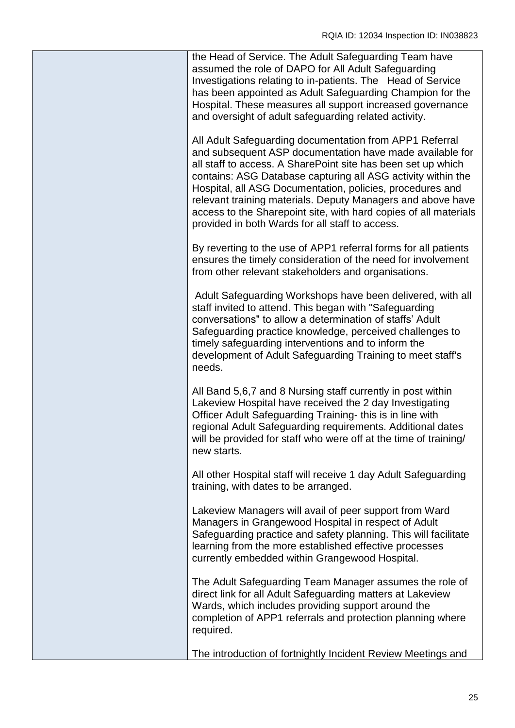| the Head of Service. The Adult Safeguarding Team have<br>assumed the role of DAPO for All Adult Safeguarding<br>Investigations relating to in-patients. The Head of Service<br>has been appointed as Adult Safeguarding Champion for the<br>Hospital. These measures all support increased governance<br>and oversight of adult safeguarding related activity.                                                                                                                                         |
|--------------------------------------------------------------------------------------------------------------------------------------------------------------------------------------------------------------------------------------------------------------------------------------------------------------------------------------------------------------------------------------------------------------------------------------------------------------------------------------------------------|
| All Adult Safeguarding documentation from APP1 Referral<br>and subsequent ASP documentation have made available for<br>all staff to access. A SharePoint site has been set up which<br>contains: ASG Database capturing all ASG activity within the<br>Hospital, all ASG Documentation, policies, procedures and<br>relevant training materials. Deputy Managers and above have<br>access to the Sharepoint site, with hard copies of all materials<br>provided in both Wards for all staff to access. |
| By reverting to the use of APP1 referral forms for all patients<br>ensures the timely consideration of the need for involvement<br>from other relevant stakeholders and organisations.                                                                                                                                                                                                                                                                                                                 |
| Adult Safeguarding Workshops have been delivered, with all<br>staff invited to attend. This began with "Safeguarding<br>conversations" to allow a determination of staffs' Adult<br>Safeguarding practice knowledge, perceived challenges to<br>timely safeguarding interventions and to inform the<br>development of Adult Safeguarding Training to meet staff's<br>needs.                                                                                                                            |
| All Band 5,6,7 and 8 Nursing staff currently in post within<br>Lakeview Hospital have received the 2 day Investigating<br>Officer Adult Safeguarding Training- this is in line with<br>regional Adult Safeguarding requirements. Additional dates<br>will be provided for staff who were off at the time of training/<br>new starts.                                                                                                                                                                   |
| All other Hospital staff will receive 1 day Adult Safeguarding<br>training, with dates to be arranged.                                                                                                                                                                                                                                                                                                                                                                                                 |
| Lakeview Managers will avail of peer support from Ward<br>Managers in Grangewood Hospital in respect of Adult<br>Safeguarding practice and safety planning. This will facilitate<br>learning from the more established effective processes<br>currently embedded within Grangewood Hospital.                                                                                                                                                                                                           |
| The Adult Safeguarding Team Manager assumes the role of<br>direct link for all Adult Safeguarding matters at Lakeview<br>Wards, which includes providing support around the<br>completion of APP1 referrals and protection planning where<br>required.                                                                                                                                                                                                                                                 |
| The introduction of fortnightly Incident Review Meetings and                                                                                                                                                                                                                                                                                                                                                                                                                                           |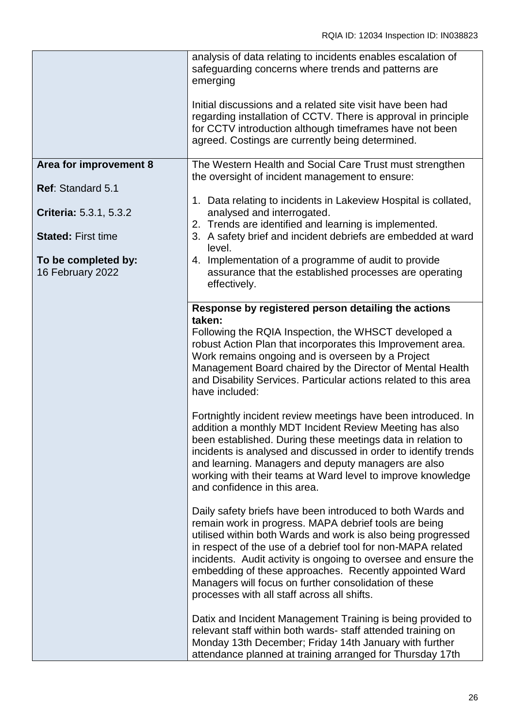|                                         | analysis of data relating to incidents enables escalation of<br>safeguarding concerns where trends and patterns are<br>emerging<br>Initial discussions and a related site visit have been had<br>regarding installation of CCTV. There is approval in principle<br>for CCTV introduction although timeframes have not been<br>agreed. Costings are currently being determined.                                                                                                                                                                                                                                                                                                                                                                                                                                   |
|-----------------------------------------|------------------------------------------------------------------------------------------------------------------------------------------------------------------------------------------------------------------------------------------------------------------------------------------------------------------------------------------------------------------------------------------------------------------------------------------------------------------------------------------------------------------------------------------------------------------------------------------------------------------------------------------------------------------------------------------------------------------------------------------------------------------------------------------------------------------|
| Area for improvement 8                  | The Western Health and Social Care Trust must strengthen                                                                                                                                                                                                                                                                                                                                                                                                                                                                                                                                                                                                                                                                                                                                                         |
| Ref: Standard 5.1                       | the oversight of incident management to ensure:<br>1. Data relating to incidents in Lakeview Hospital is collated,                                                                                                                                                                                                                                                                                                                                                                                                                                                                                                                                                                                                                                                                                               |
| <b>Criteria: 5.3.1, 5.3.2</b>           | analysed and interrogated.<br>2. Trends are identified and learning is implemented.                                                                                                                                                                                                                                                                                                                                                                                                                                                                                                                                                                                                                                                                                                                              |
| <b>Stated: First time</b>               | 3. A safety brief and incident debriefs are embedded at ward<br>level.                                                                                                                                                                                                                                                                                                                                                                                                                                                                                                                                                                                                                                                                                                                                           |
| To be completed by:<br>16 February 2022 | 4. Implementation of a programme of audit to provide<br>assurance that the established processes are operating<br>effectively.                                                                                                                                                                                                                                                                                                                                                                                                                                                                                                                                                                                                                                                                                   |
|                                         | Response by registered person detailing the actions<br>taken:<br>Following the RQIA Inspection, the WHSCT developed a<br>robust Action Plan that incorporates this Improvement area.<br>Work remains ongoing and is overseen by a Project<br>Management Board chaired by the Director of Mental Health<br>and Disability Services. Particular actions related to this area<br>have included:<br>Fortnightly incident review meetings have been introduced. In<br>addition a monthly MDT Incident Review Meeting has also<br>been established. During these meetings data in relation to<br>incidents is analysed and discussed in order to identify trends<br>and learning. Managers and deputy managers are also<br>working with their teams at Ward level to improve knowledge<br>and confidence in this area. |
|                                         | Daily safety briefs have been introduced to both Wards and<br>remain work in progress. MAPA debrief tools are being<br>utilised within both Wards and work is also being progressed<br>in respect of the use of a debrief tool for non-MAPA related<br>incidents. Audit activity is ongoing to oversee and ensure the<br>embedding of these approaches. Recently appointed Ward<br>Managers will focus on further consolidation of these<br>processes with all staff across all shifts.                                                                                                                                                                                                                                                                                                                          |
|                                         | Datix and Incident Management Training is being provided to<br>relevant staff within both wards- staff attended training on<br>Monday 13th December; Friday 14th January with further<br>attendance planned at training arranged for Thursday 17th                                                                                                                                                                                                                                                                                                                                                                                                                                                                                                                                                               |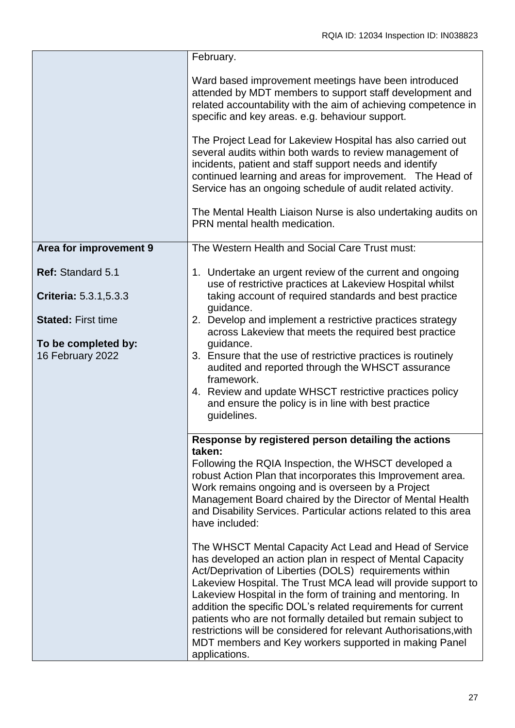|                                                                      | February.                                                                                                                                                                                                                                                                                                                                                                                                                                                                                                                                                                                      |
|----------------------------------------------------------------------|------------------------------------------------------------------------------------------------------------------------------------------------------------------------------------------------------------------------------------------------------------------------------------------------------------------------------------------------------------------------------------------------------------------------------------------------------------------------------------------------------------------------------------------------------------------------------------------------|
|                                                                      | Ward based improvement meetings have been introduced<br>attended by MDT members to support staff development and<br>related accountability with the aim of achieving competence in<br>specific and key areas. e.g. behaviour support.                                                                                                                                                                                                                                                                                                                                                          |
|                                                                      | The Project Lead for Lakeview Hospital has also carried out<br>several audits within both wards to review management of<br>incidents, patient and staff support needs and identify<br>continued learning and areas for improvement. The Head of<br>Service has an ongoing schedule of audit related activity.<br>The Mental Health Liaison Nurse is also undertaking audits on<br>PRN mental health medication.                                                                                                                                                                                |
| Area for improvement 9                                               | The Western Health and Social Care Trust must:                                                                                                                                                                                                                                                                                                                                                                                                                                                                                                                                                 |
| <b>Ref: Standard 5.1</b><br><b>Criteria: 5.3.1,5.3.3</b>             | 1. Undertake an urgent review of the current and ongoing<br>use of restrictive practices at Lakeview Hospital whilst<br>taking account of required standards and best practice                                                                                                                                                                                                                                                                                                                                                                                                                 |
| <b>Stated: First time</b><br>To be completed by:<br>16 February 2022 | guidance.<br>2. Develop and implement a restrictive practices strategy<br>across Lakeview that meets the required best practice<br>guidance.<br>3. Ensure that the use of restrictive practices is routinely<br>audited and reported through the WHSCT assurance<br>framework.<br>4. Review and update WHSCT restrictive practices policy<br>and ensure the policy is in line with best practice<br>guidelines.                                                                                                                                                                                |
|                                                                      | Response by registered person detailing the actions<br>taken:<br>Following the RQIA Inspection, the WHSCT developed a<br>robust Action Plan that incorporates this Improvement area.<br>Work remains ongoing and is overseen by a Project<br>Management Board chaired by the Director of Mental Health<br>and Disability Services. Particular actions related to this area<br>have included:                                                                                                                                                                                                   |
|                                                                      | The WHSCT Mental Capacity Act Lead and Head of Service<br>has developed an action plan in respect of Mental Capacity<br>Act/Deprivation of Liberties (DOLS) requirements within<br>Lakeview Hospital. The Trust MCA lead will provide support to<br>Lakeview Hospital in the form of training and mentoring. In<br>addition the specific DOL's related requirements for current<br>patients who are not formally detailed but remain subject to<br>restrictions will be considered for relevant Authorisations, with<br>MDT members and Key workers supported in making Panel<br>applications. |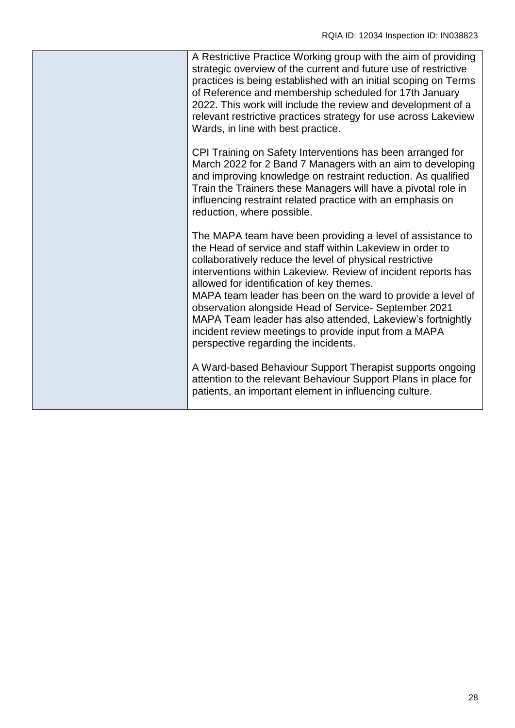| A Restrictive Practice Working group with the aim of providing<br>strategic overview of the current and future use of restrictive<br>practices is being established with an initial scoping on Terms<br>of Reference and membership scheduled for 17th January<br>2022. This work will include the review and development of a<br>relevant restrictive practices strategy for use across Lakeview<br>Wards, in line with best practice.                                                                                                                                                  |
|------------------------------------------------------------------------------------------------------------------------------------------------------------------------------------------------------------------------------------------------------------------------------------------------------------------------------------------------------------------------------------------------------------------------------------------------------------------------------------------------------------------------------------------------------------------------------------------|
| CPI Training on Safety Interventions has been arranged for<br>March 2022 for 2 Band 7 Managers with an aim to developing<br>and improving knowledge on restraint reduction. As qualified<br>Train the Trainers these Managers will have a pivotal role in<br>influencing restraint related practice with an emphasis on<br>reduction, where possible.                                                                                                                                                                                                                                    |
| The MAPA team have been providing a level of assistance to<br>the Head of service and staff within Lakeview in order to<br>collaboratively reduce the level of physical restrictive<br>interventions within Lakeview. Review of incident reports has<br>allowed for identification of key themes.<br>MAPA team leader has been on the ward to provide a level of<br>observation alongside Head of Service- September 2021<br>MAPA Team leader has also attended, Lakeview's fortnightly<br>incident review meetings to provide input from a MAPA<br>perspective regarding the incidents. |
| A Ward-based Behaviour Support Therapist supports ongoing<br>attention to the relevant Behaviour Support Plans in place for<br>patients, an important element in influencing culture.                                                                                                                                                                                                                                                                                                                                                                                                    |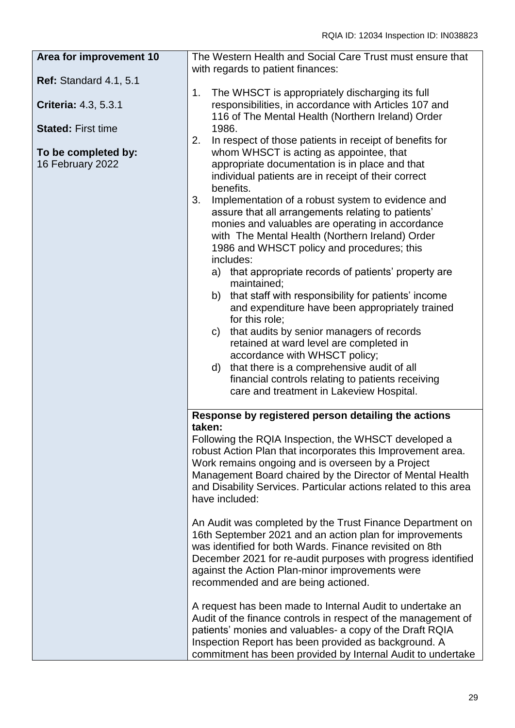| Area for improvement 10       | The Western Health and Social Care Trust must ensure that                                                          |
|-------------------------------|--------------------------------------------------------------------------------------------------------------------|
|                               | with regards to patient finances:                                                                                  |
| <b>Ref: Standard 4.1, 5.1</b> | 1.<br>The WHSCT is appropriately discharging its full                                                              |
| Criteria: 4.3, 5.3.1          | responsibilities, in accordance with Articles 107 and                                                              |
|                               | 116 of The Mental Health (Northern Ireland) Order                                                                  |
| <b>Stated: First time</b>     | 1986.                                                                                                              |
|                               | 2.<br>In respect of those patients in receipt of benefits for                                                      |
| To be completed by:           | whom WHSCT is acting as appointee, that                                                                            |
| 16 February 2022              | appropriate documentation is in place and that                                                                     |
|                               | individual patients are in receipt of their correct                                                                |
|                               | benefits.                                                                                                          |
|                               | 3.<br>Implementation of a robust system to evidence and                                                            |
|                               | assure that all arrangements relating to patients'                                                                 |
|                               | monies and valuables are operating in accordance                                                                   |
|                               | with The Mental Health (Northern Ireland) Order                                                                    |
|                               | 1986 and WHSCT policy and procedures; this                                                                         |
|                               | includes:<br>a) that appropriate records of patients' property are                                                 |
|                               | maintained;                                                                                                        |
|                               | b) that staff with responsibility for patients' income                                                             |
|                               | and expenditure have been appropriately trained                                                                    |
|                               | for this role;                                                                                                     |
|                               | c) that audits by senior managers of records                                                                       |
|                               | retained at ward level are completed in                                                                            |
|                               | accordance with WHSCT policy;                                                                                      |
|                               | d) that there is a comprehensive audit of all                                                                      |
|                               | financial controls relating to patients receiving                                                                  |
|                               | care and treatment in Lakeview Hospital.                                                                           |
|                               | Response by registered person detailing the actions                                                                |
|                               | taken:                                                                                                             |
|                               | Following the RQIA Inspection, the WHSCT developed a                                                               |
|                               | robust Action Plan that incorporates this Improvement area.                                                        |
|                               | Work remains ongoing and is overseen by a Project                                                                  |
|                               | Management Board chaired by the Director of Mental Health                                                          |
|                               | and Disability Services. Particular actions related to this area                                                   |
|                               | have included:                                                                                                     |
|                               |                                                                                                                    |
|                               | An Audit was completed by the Trust Finance Department on                                                          |
|                               | 16th September 2021 and an action plan for improvements<br>was identified for both Wards. Finance revisited on 8th |
|                               | December 2021 for re-audit purposes with progress identified                                                       |
|                               | against the Action Plan-minor improvements were                                                                    |
|                               | recommended and are being actioned.                                                                                |
|                               |                                                                                                                    |
|                               | A request has been made to Internal Audit to undertake an                                                          |
|                               | Audit of the finance controls in respect of the management of                                                      |
|                               | patients' monies and valuables- a copy of the Draft RQIA                                                           |
|                               | Inspection Report has been provided as background. A                                                               |
|                               | commitment has been provided by Internal Audit to undertake                                                        |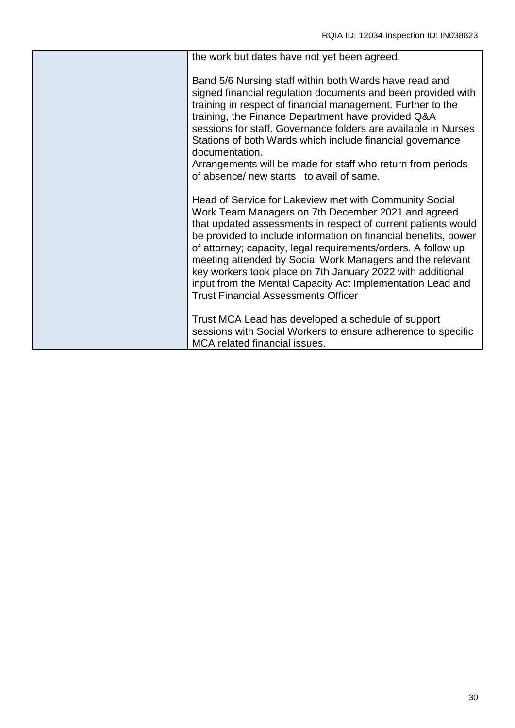| the work but dates have not yet been agreed.                                                                                                                                                                                                                                                                                                                                                                                                                                                                                                             |
|----------------------------------------------------------------------------------------------------------------------------------------------------------------------------------------------------------------------------------------------------------------------------------------------------------------------------------------------------------------------------------------------------------------------------------------------------------------------------------------------------------------------------------------------------------|
| Band 5/6 Nursing staff within both Wards have read and<br>signed financial regulation documents and been provided with<br>training in respect of financial management. Further to the<br>training, the Finance Department have provided Q&A<br>sessions for staff. Governance folders are available in Nurses<br>Stations of both Wards which include financial governance<br>documentation.<br>Arrangements will be made for staff who return from periods<br>of absence/ new starts to avail of same.                                                  |
| Head of Service for Lakeview met with Community Social<br>Work Team Managers on 7th December 2021 and agreed<br>that updated assessments in respect of current patients would<br>be provided to include information on financial benefits, power<br>of attorney; capacity, legal requirements/orders. A follow up<br>meeting attended by Social Work Managers and the relevant<br>key workers took place on 7th January 2022 with additional<br>input from the Mental Capacity Act Implementation Lead and<br><b>Trust Financial Assessments Officer</b> |
| Trust MCA Lead has developed a schedule of support<br>sessions with Social Workers to ensure adherence to specific<br>MCA related financial issues.                                                                                                                                                                                                                                                                                                                                                                                                      |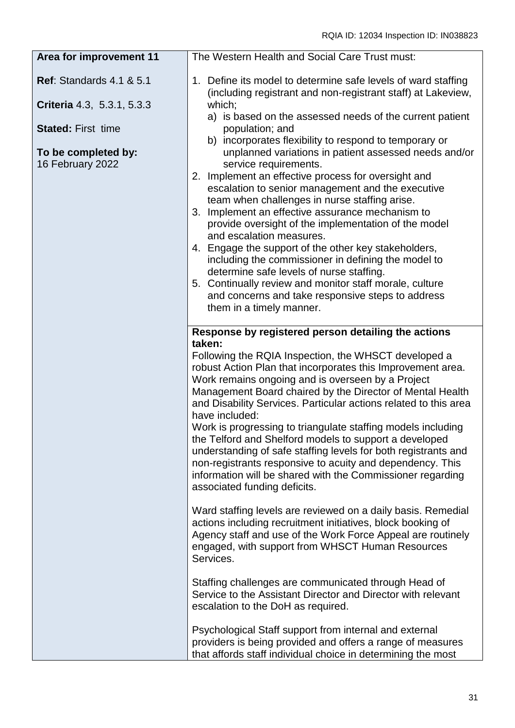| Area for improvement 11                 | The Western Health and Social Care Trust must:                                                                                                                                                                                                                                                                                                                                                                                                                                                                                                                                                                                                                                                                                                             |
|-----------------------------------------|------------------------------------------------------------------------------------------------------------------------------------------------------------------------------------------------------------------------------------------------------------------------------------------------------------------------------------------------------------------------------------------------------------------------------------------------------------------------------------------------------------------------------------------------------------------------------------------------------------------------------------------------------------------------------------------------------------------------------------------------------------|
| <b>Ref: Standards 4.1 &amp; 5.1</b>     | 1. Define its model to determine safe levels of ward staffing<br>(including registrant and non-registrant staff) at Lakeview,                                                                                                                                                                                                                                                                                                                                                                                                                                                                                                                                                                                                                              |
| Criteria 4.3, 5.3.1, 5.3.3              | which;<br>a) is based on the assessed needs of the current patient                                                                                                                                                                                                                                                                                                                                                                                                                                                                                                                                                                                                                                                                                         |
| <b>Stated: First time</b>               | population; and                                                                                                                                                                                                                                                                                                                                                                                                                                                                                                                                                                                                                                                                                                                                            |
| To be completed by:<br>16 February 2022 | b) incorporates flexibility to respond to temporary or<br>unplanned variations in patient assessed needs and/or<br>service requirements.<br>Implement an effective process for oversight and<br>2.<br>escalation to senior management and the executive<br>team when challenges in nurse staffing arise.<br>Implement an effective assurance mechanism to<br>3.<br>provide oversight of the implementation of the model<br>and escalation measures.<br>4. Engage the support of the other key stakeholders,<br>including the commissioner in defining the model to<br>determine safe levels of nurse staffing.<br>5. Continually review and monitor staff morale, culture<br>and concerns and take responsive steps to address<br>them in a timely manner. |
|                                         | Response by registered person detailing the actions<br>taken:<br>Following the RQIA Inspection, the WHSCT developed a<br>robust Action Plan that incorporates this Improvement area.<br>Work remains ongoing and is overseen by a Project<br>Management Board chaired by the Director of Mental Health<br>and Disability Services. Particular actions related to this area<br>have included:<br>Work is progressing to triangulate staffing models including<br>the Telford and Shelford models to support a developed<br>understanding of safe staffing levels for both registrants and<br>non-registrants responsive to acuity and dependency. This<br>information will be shared with the Commissioner regarding<br>associated funding deficits.        |
|                                         | Ward staffing levels are reviewed on a daily basis. Remedial<br>actions including recruitment initiatives, block booking of<br>Agency staff and use of the Work Force Appeal are routinely<br>engaged, with support from WHSCT Human Resources<br>Services.                                                                                                                                                                                                                                                                                                                                                                                                                                                                                                |
|                                         | Staffing challenges are communicated through Head of<br>Service to the Assistant Director and Director with relevant<br>escalation to the DoH as required.                                                                                                                                                                                                                                                                                                                                                                                                                                                                                                                                                                                                 |
|                                         | Psychological Staff support from internal and external<br>providers is being provided and offers a range of measures<br>that affords staff individual choice in determining the most                                                                                                                                                                                                                                                                                                                                                                                                                                                                                                                                                                       |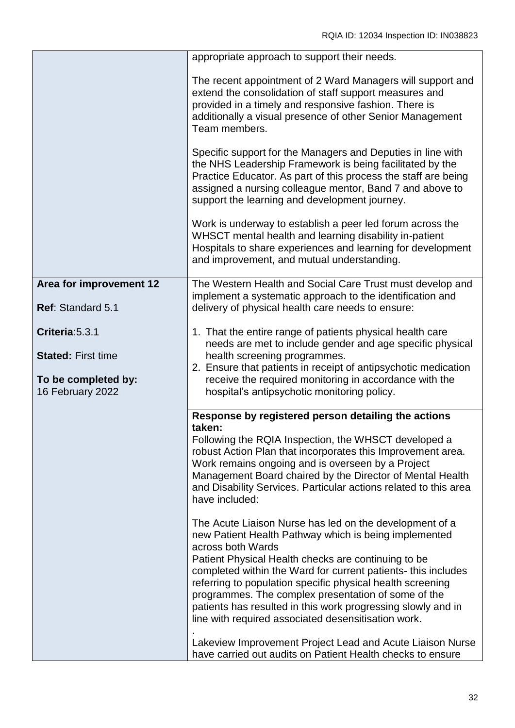|                                              | appropriate approach to support their needs.                                                                                                                                                                                                                                                                                                                                                                                                                                                              |
|----------------------------------------------|-----------------------------------------------------------------------------------------------------------------------------------------------------------------------------------------------------------------------------------------------------------------------------------------------------------------------------------------------------------------------------------------------------------------------------------------------------------------------------------------------------------|
|                                              | The recent appointment of 2 Ward Managers will support and<br>extend the consolidation of staff support measures and<br>provided in a timely and responsive fashion. There is<br>additionally a visual presence of other Senior Management<br>Team members.                                                                                                                                                                                                                                               |
|                                              | Specific support for the Managers and Deputies in line with<br>the NHS Leadership Framework is being facilitated by the<br>Practice Educator. As part of this process the staff are being<br>assigned a nursing colleague mentor, Band 7 and above to<br>support the learning and development journey.                                                                                                                                                                                                    |
|                                              | Work is underway to establish a peer led forum across the<br>WHSCT mental health and learning disability in-patient<br>Hospitals to share experiences and learning for development<br>and improvement, and mutual understanding.                                                                                                                                                                                                                                                                          |
| Area for improvement 12<br>Ref: Standard 5.1 | The Western Health and Social Care Trust must develop and<br>implement a systematic approach to the identification and<br>delivery of physical health care needs to ensure:                                                                                                                                                                                                                                                                                                                               |
| Criteria: 5.3.1<br><b>Stated: First time</b> | 1. That the entire range of patients physical health care<br>needs are met to include gender and age specific physical<br>health screening programmes.<br>2. Ensure that patients in receipt of antipsychotic medication                                                                                                                                                                                                                                                                                  |
| To be completed by:<br>16 February 2022      | receive the required monitoring in accordance with the<br>hospital's antipsychotic monitoring policy.                                                                                                                                                                                                                                                                                                                                                                                                     |
|                                              | Response by registered person detailing the actions<br>taken:<br>Following the RQIA Inspection, the WHSCT developed a<br>robust Action Plan that incorporates this Improvement area.<br>Work remains ongoing and is overseen by a Project<br>Management Board chaired by the Director of Mental Health<br>and Disability Services. Particular actions related to this area<br>have included:                                                                                                              |
|                                              | The Acute Liaison Nurse has led on the development of a<br>new Patient Health Pathway which is being implemented<br>across both Wards<br>Patient Physical Health checks are continuing to be<br>completed within the Ward for current patients- this includes<br>referring to population specific physical health screening<br>programmes. The complex presentation of some of the<br>patients has resulted in this work progressing slowly and in<br>line with required associated desensitisation work. |
|                                              | Lakeview Improvement Project Lead and Acute Liaison Nurse<br>have carried out audits on Patient Health checks to ensure                                                                                                                                                                                                                                                                                                                                                                                   |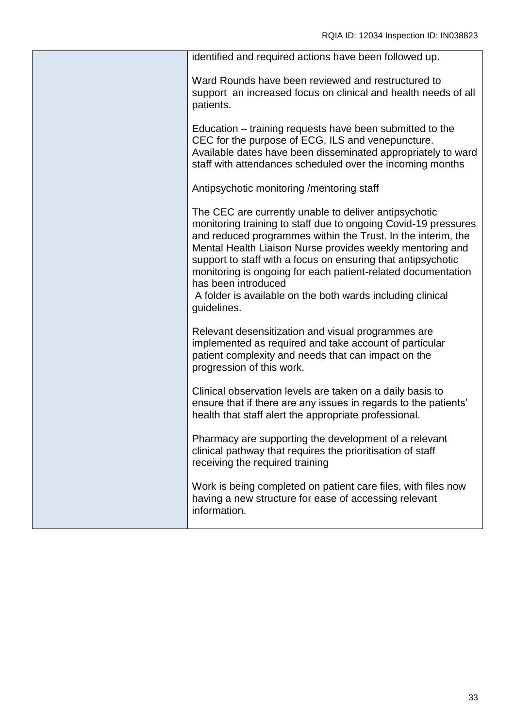| identified and required actions have been followed up.                                                                                                                                                                                                                                                                                                                                                                                                                                   |
|------------------------------------------------------------------------------------------------------------------------------------------------------------------------------------------------------------------------------------------------------------------------------------------------------------------------------------------------------------------------------------------------------------------------------------------------------------------------------------------|
| Ward Rounds have been reviewed and restructured to<br>support an increased focus on clinical and health needs of all<br>patients.                                                                                                                                                                                                                                                                                                                                                        |
| Education – training requests have been submitted to the<br>CEC for the purpose of ECG, ILS and venepuncture.<br>Available dates have been disseminated appropriately to ward<br>staff with attendances scheduled over the incoming months                                                                                                                                                                                                                                               |
| Antipsychotic monitoring / mentoring staff                                                                                                                                                                                                                                                                                                                                                                                                                                               |
| The CEC are currently unable to deliver antipsychotic<br>monitoring training to staff due to ongoing Covid-19 pressures<br>and reduced programmes within the Trust. In the interim, the<br>Mental Health Liaison Nurse provides weekly mentoring and<br>support to staff with a focus on ensuring that antipsychotic<br>monitoring is ongoing for each patient-related documentation<br>has been introduced<br>A folder is available on the both wards including clinical<br>guidelines. |
| Relevant desensitization and visual programmes are<br>implemented as required and take account of particular<br>patient complexity and needs that can impact on the<br>progression of this work.                                                                                                                                                                                                                                                                                         |
| Clinical observation levels are taken on a daily basis to<br>ensure that if there are any issues in regards to the patients'<br>health that staff alert the appropriate professional.                                                                                                                                                                                                                                                                                                    |
| Pharmacy are supporting the development of a relevant<br>clinical pathway that requires the prioritisation of staff<br>receiving the required training                                                                                                                                                                                                                                                                                                                                   |
| Work is being completed on patient care files, with files now<br>having a new structure for ease of accessing relevant<br>information.                                                                                                                                                                                                                                                                                                                                                   |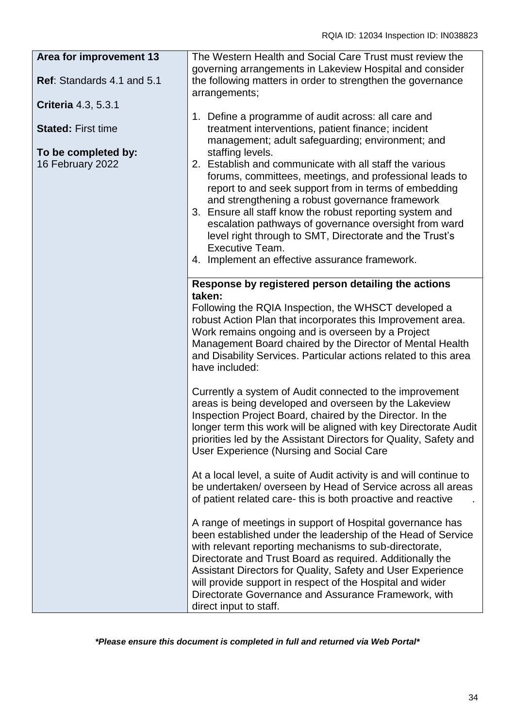| Area for improvement 13<br>Ref: Standards 4.1 and 5.1 | The Western Health and Social Care Trust must review the<br>governing arrangements in Lakeview Hospital and consider<br>the following matters in order to strengthen the governance                                                                                                                                                                                                                                                                                                                     |
|-------------------------------------------------------|---------------------------------------------------------------------------------------------------------------------------------------------------------------------------------------------------------------------------------------------------------------------------------------------------------------------------------------------------------------------------------------------------------------------------------------------------------------------------------------------------------|
| Criteria 4.3, 5.3.1                                   | arrangements;                                                                                                                                                                                                                                                                                                                                                                                                                                                                                           |
| <b>Stated: First time</b>                             | 1. Define a programme of audit across: all care and<br>treatment interventions, patient finance; incident<br>management; adult safeguarding; environment; and                                                                                                                                                                                                                                                                                                                                           |
| To be completed by:<br>16 February 2022               | staffing levels.<br>2. Establish and communicate with all staff the various<br>forums, committees, meetings, and professional leads to<br>report to and seek support from in terms of embedding<br>and strengthening a robust governance framework<br>3. Ensure all staff know the robust reporting system and<br>escalation pathways of governance oversight from ward<br>level right through to SMT, Directorate and the Trust's<br>Executive Team.<br>4. Implement an effective assurance framework. |
|                                                       | Response by registered person detailing the actions                                                                                                                                                                                                                                                                                                                                                                                                                                                     |
|                                                       | taken:<br>Following the RQIA Inspection, the WHSCT developed a<br>robust Action Plan that incorporates this Improvement area.<br>Work remains ongoing and is overseen by a Project<br>Management Board chaired by the Director of Mental Health<br>and Disability Services. Particular actions related to this area<br>have included:                                                                                                                                                                   |
|                                                       | Currently a system of Audit connected to the improvement<br>areas is being developed and overseen by the Lakeview<br>Inspection Project Board, chaired by the Director. In the<br>longer term this work will be aligned with key Directorate Audit<br>priorities led by the Assistant Directors for Quality, Safety and<br>User Experience (Nursing and Social Care                                                                                                                                     |
|                                                       | At a local level, a suite of Audit activity is and will continue to<br>be undertaken/overseen by Head of Service across all areas<br>of patient related care-this is both proactive and reactive                                                                                                                                                                                                                                                                                                        |
|                                                       | A range of meetings in support of Hospital governance has<br>been established under the leadership of the Head of Service<br>with relevant reporting mechanisms to sub-directorate,<br>Directorate and Trust Board as required. Additionally the<br>Assistant Directors for Quality, Safety and User Experience<br>will provide support in respect of the Hospital and wider<br>Directorate Governance and Assurance Framework, with<br>direct input to staff.                                          |

*\*Please ensure this document is completed in full and returned via Web Portal\**